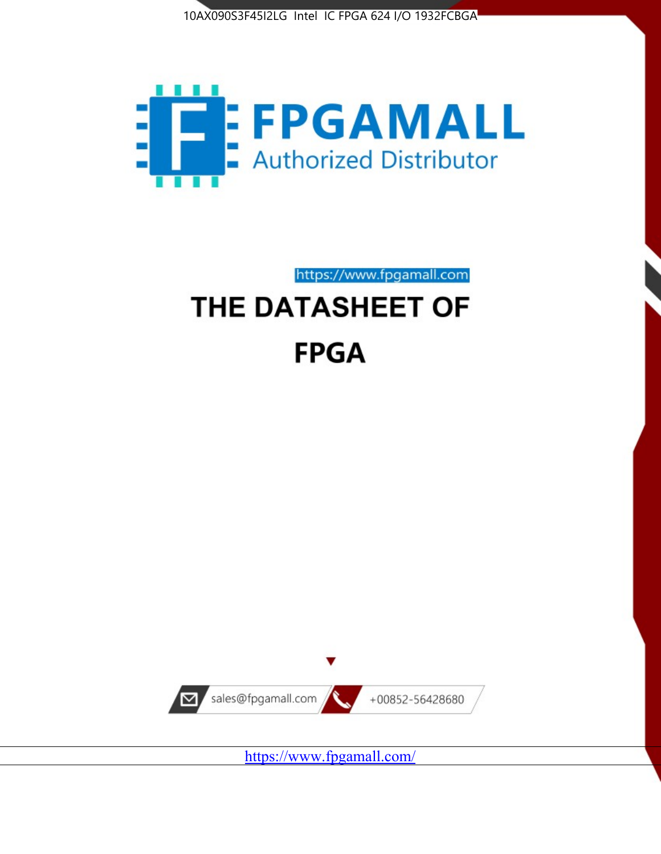



https://www.fpgamall.com THE DATASHEET OF

# **FPGA**



<https://www.fpgamall.com/>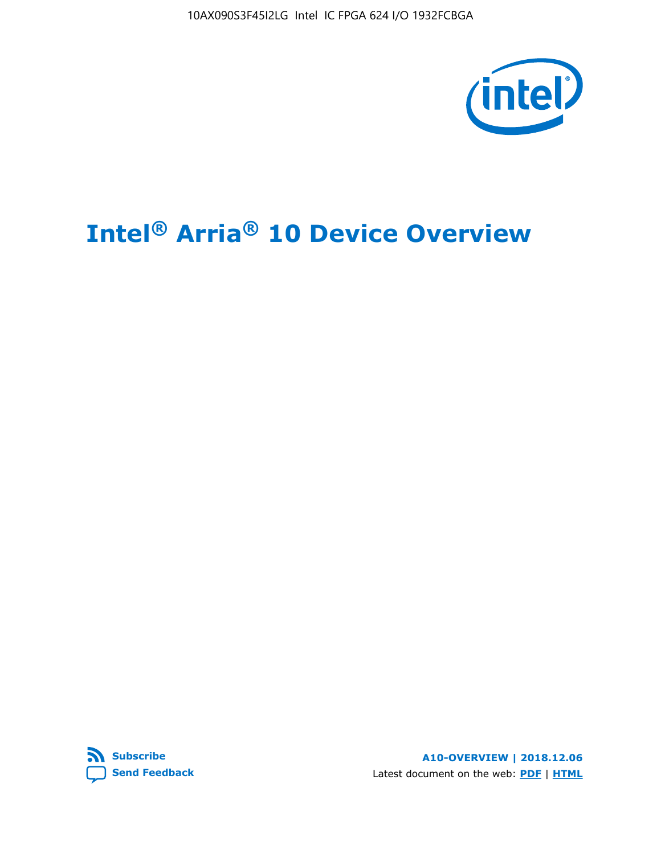10AX090S3F45I2LG Intel IC FPGA 624 I/O 1932FCBGA



# **Intel® Arria® 10 Device Overview**



**A10-OVERVIEW | 2018.12.06** Latest document on the web: **[PDF](https://www.intel.com/content/dam/www/programmable/us/en/pdfs/literature/hb/arria-10/a10_overview.pdf)** | **[HTML](https://www.intel.com/content/www/us/en/programmable/documentation/sam1403480274650.html)**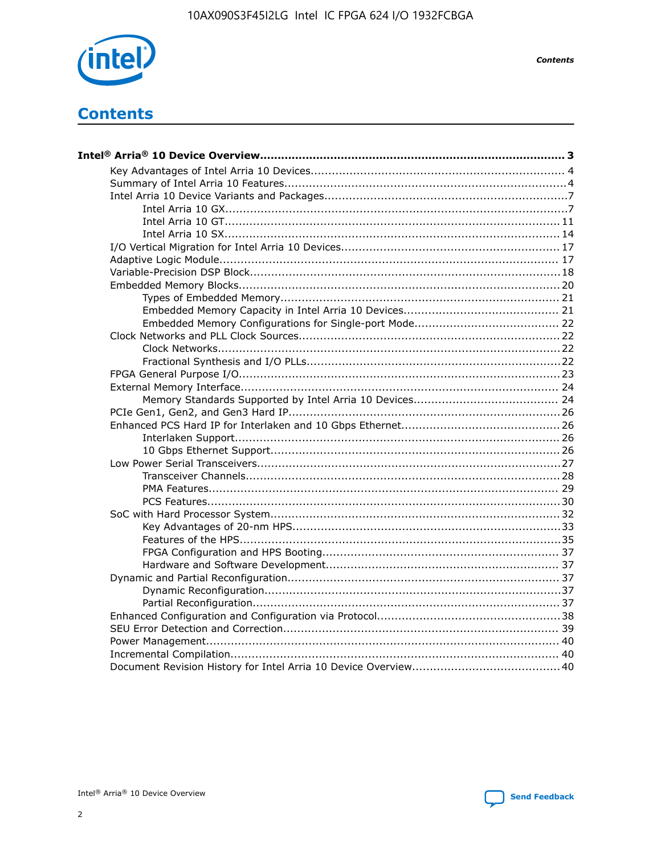

**Contents** 

# **Contents**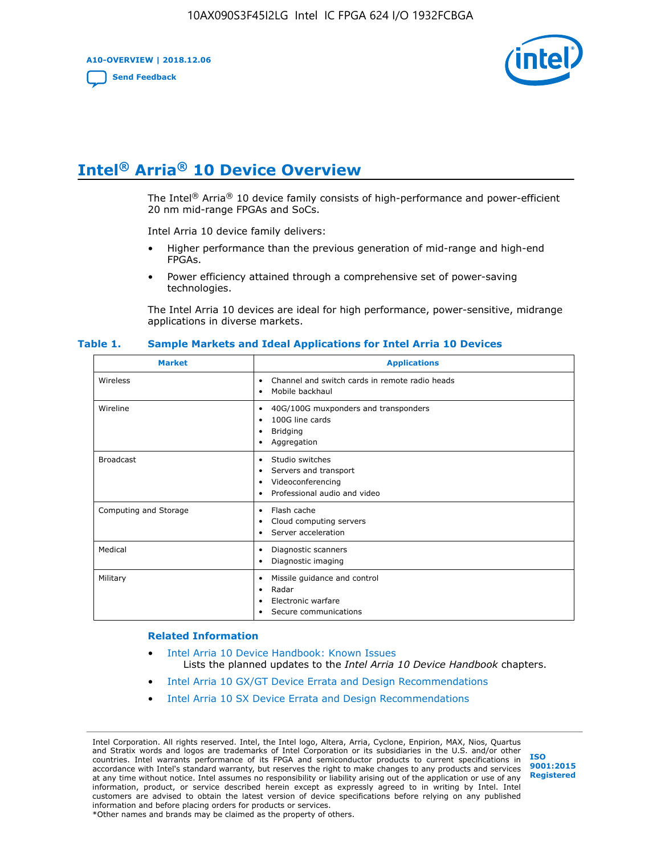**A10-OVERVIEW | 2018.12.06**

**[Send Feedback](mailto:FPGAtechdocfeedback@intel.com?subject=Feedback%20on%20Intel%20Arria%2010%20Device%20Overview%20(A10-OVERVIEW%202018.12.06)&body=We%20appreciate%20your%20feedback.%20In%20your%20comments,%20also%20specify%20the%20page%20number%20or%20paragraph.%20Thank%20you.)**



# **Intel® Arria® 10 Device Overview**

The Intel<sup>®</sup> Arria<sup>®</sup> 10 device family consists of high-performance and power-efficient 20 nm mid-range FPGAs and SoCs.

Intel Arria 10 device family delivers:

- Higher performance than the previous generation of mid-range and high-end FPGAs.
- Power efficiency attained through a comprehensive set of power-saving technologies.

The Intel Arria 10 devices are ideal for high performance, power-sensitive, midrange applications in diverse markets.

| <b>Market</b>         | <b>Applications</b>                                                                                               |
|-----------------------|-------------------------------------------------------------------------------------------------------------------|
| Wireless              | Channel and switch cards in remote radio heads<br>٠<br>Mobile backhaul<br>٠                                       |
| Wireline              | 40G/100G muxponders and transponders<br>٠<br>100G line cards<br>٠<br><b>Bridging</b><br>٠<br>Aggregation<br>٠     |
| <b>Broadcast</b>      | Studio switches<br>٠<br>Servers and transport<br>٠<br>Videoconferencing<br>٠<br>Professional audio and video<br>٠ |
| Computing and Storage | Flash cache<br>٠<br>Cloud computing servers<br>٠<br>Server acceleration<br>٠                                      |
| Medical               | Diagnostic scanners<br>٠<br>Diagnostic imaging<br>٠                                                               |
| Military              | Missile guidance and control<br>٠<br>Radar<br>٠<br>Electronic warfare<br>٠<br>Secure communications<br>٠          |

#### **Table 1. Sample Markets and Ideal Applications for Intel Arria 10 Devices**

#### **Related Information**

- [Intel Arria 10 Device Handbook: Known Issues](http://www.altera.com/support/kdb/solutions/rd07302013_646.html) Lists the planned updates to the *Intel Arria 10 Device Handbook* chapters.
- [Intel Arria 10 GX/GT Device Errata and Design Recommendations](https://www.intel.com/content/www/us/en/programmable/documentation/agz1493851706374.html#yqz1494433888646)
- [Intel Arria 10 SX Device Errata and Design Recommendations](https://www.intel.com/content/www/us/en/programmable/documentation/cru1462832385668.html#cru1462832558642)

Intel Corporation. All rights reserved. Intel, the Intel logo, Altera, Arria, Cyclone, Enpirion, MAX, Nios, Quartus and Stratix words and logos are trademarks of Intel Corporation or its subsidiaries in the U.S. and/or other countries. Intel warrants performance of its FPGA and semiconductor products to current specifications in accordance with Intel's standard warranty, but reserves the right to make changes to any products and services at any time without notice. Intel assumes no responsibility or liability arising out of the application or use of any information, product, or service described herein except as expressly agreed to in writing by Intel. Intel customers are advised to obtain the latest version of device specifications before relying on any published information and before placing orders for products or services. \*Other names and brands may be claimed as the property of others.

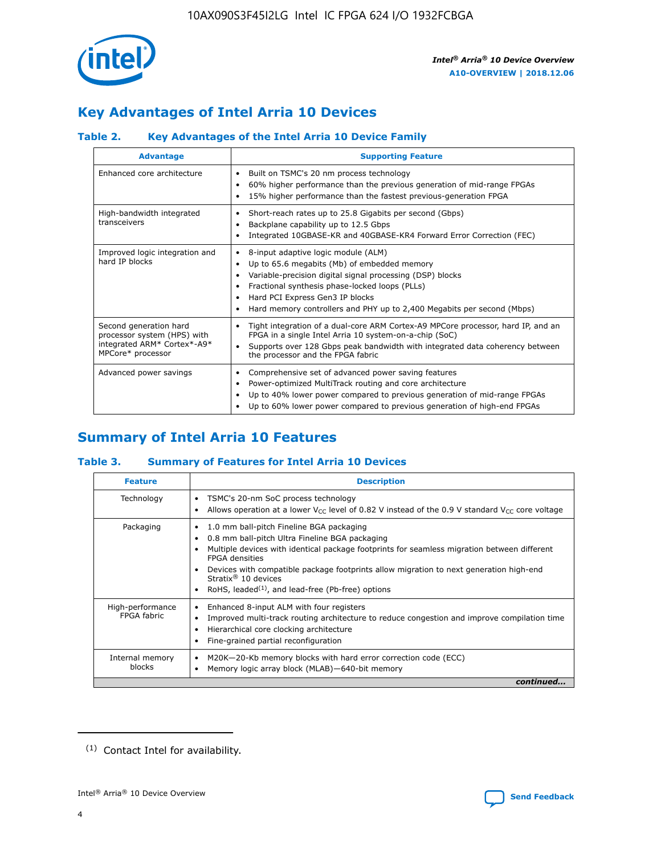

# **Key Advantages of Intel Arria 10 Devices**

# **Table 2. Key Advantages of the Intel Arria 10 Device Family**

| <b>Advantage</b>                                                                                          | <b>Supporting Feature</b>                                                                                                                                                                                                                                                                                                |
|-----------------------------------------------------------------------------------------------------------|--------------------------------------------------------------------------------------------------------------------------------------------------------------------------------------------------------------------------------------------------------------------------------------------------------------------------|
| Enhanced core architecture                                                                                | Built on TSMC's 20 nm process technology<br>٠<br>60% higher performance than the previous generation of mid-range FPGAs<br>٠<br>15% higher performance than the fastest previous-generation FPGA<br>٠                                                                                                                    |
| High-bandwidth integrated<br>transceivers                                                                 | Short-reach rates up to 25.8 Gigabits per second (Gbps)<br>٠<br>Backplane capability up to 12.5 Gbps<br>٠<br>Integrated 10GBASE-KR and 40GBASE-KR4 Forward Error Correction (FEC)<br>٠                                                                                                                                   |
| Improved logic integration and<br>hard IP blocks                                                          | 8-input adaptive logic module (ALM)<br>٠<br>Up to 65.6 megabits (Mb) of embedded memory<br>٠<br>Variable-precision digital signal processing (DSP) blocks<br>Fractional synthesis phase-locked loops (PLLs)<br>Hard PCI Express Gen3 IP blocks<br>Hard memory controllers and PHY up to 2,400 Megabits per second (Mbps) |
| Second generation hard<br>processor system (HPS) with<br>integrated ARM* Cortex*-A9*<br>MPCore* processor | Tight integration of a dual-core ARM Cortex-A9 MPCore processor, hard IP, and an<br>٠<br>FPGA in a single Intel Arria 10 system-on-a-chip (SoC)<br>Supports over 128 Gbps peak bandwidth with integrated data coherency between<br>$\bullet$<br>the processor and the FPGA fabric                                        |
| Advanced power savings                                                                                    | Comprehensive set of advanced power saving features<br>٠<br>Power-optimized MultiTrack routing and core architecture<br>٠<br>Up to 40% lower power compared to previous generation of mid-range FPGAs<br>Up to 60% lower power compared to previous generation of high-end FPGAs                                         |

# **Summary of Intel Arria 10 Features**

## **Table 3. Summary of Features for Intel Arria 10 Devices**

| <b>Feature</b>                  | <b>Description</b>                                                                                                                                                                                                                                                                                                                                                                                       |
|---------------------------------|----------------------------------------------------------------------------------------------------------------------------------------------------------------------------------------------------------------------------------------------------------------------------------------------------------------------------------------------------------------------------------------------------------|
| Technology                      | TSMC's 20-nm SoC process technology<br>٠<br>Allows operation at a lower $V_{\text{CC}}$ level of 0.82 V instead of the 0.9 V standard $V_{\text{CC}}$ core voltage                                                                                                                                                                                                                                       |
| Packaging                       | 1.0 mm ball-pitch Fineline BGA packaging<br>0.8 mm ball-pitch Ultra Fineline BGA packaging<br>Multiple devices with identical package footprints for seamless migration between different<br><b>FPGA</b> densities<br>Devices with compatible package footprints allow migration to next generation high-end<br>Stratix $\mathcal{R}$ 10 devices<br>RoHS, leaded $(1)$ , and lead-free (Pb-free) options |
| High-performance<br>FPGA fabric | Enhanced 8-input ALM with four registers<br>٠<br>Improved multi-track routing architecture to reduce congestion and improve compilation time<br>Hierarchical core clocking architecture<br>Fine-grained partial reconfiguration                                                                                                                                                                          |
| Internal memory<br>blocks       | M20K-20-Kb memory blocks with hard error correction code (ECC)<br>Memory logic array block (MLAB)-640-bit memory                                                                                                                                                                                                                                                                                         |
|                                 | continued                                                                                                                                                                                                                                                                                                                                                                                                |



<sup>(1)</sup> Contact Intel for availability.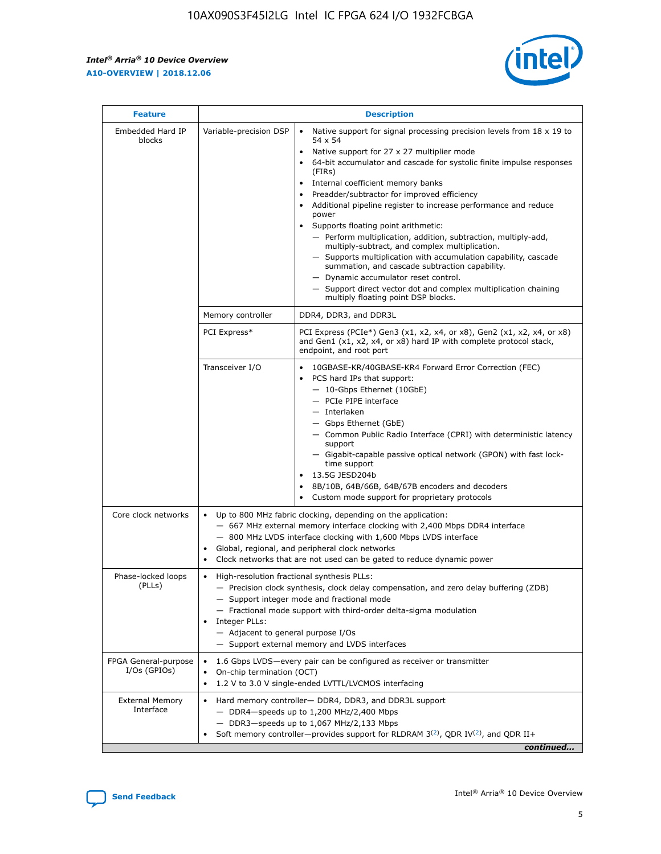$\mathsf{r}$ 



| <b>Feature</b>                         | <b>Description</b>                                                                                             |                                                                                                                                                                                                                                                                                                                                                                                                                                                                                                                                                                                                                                                                                                                                                                                                                                        |  |  |  |  |  |
|----------------------------------------|----------------------------------------------------------------------------------------------------------------|----------------------------------------------------------------------------------------------------------------------------------------------------------------------------------------------------------------------------------------------------------------------------------------------------------------------------------------------------------------------------------------------------------------------------------------------------------------------------------------------------------------------------------------------------------------------------------------------------------------------------------------------------------------------------------------------------------------------------------------------------------------------------------------------------------------------------------------|--|--|--|--|--|
| Embedded Hard IP<br>blocks             | Variable-precision DSP                                                                                         | Native support for signal processing precision levels from $18 \times 19$ to<br>54 x 54<br>Native support for 27 x 27 multiplier mode<br>64-bit accumulator and cascade for systolic finite impulse responses<br>(FIRs)<br>Internal coefficient memory banks<br>$\bullet$<br>Preadder/subtractor for improved efficiency<br>Additional pipeline register to increase performance and reduce<br>power<br>Supports floating point arithmetic:<br>- Perform multiplication, addition, subtraction, multiply-add,<br>multiply-subtract, and complex multiplication.<br>- Supports multiplication with accumulation capability, cascade<br>summation, and cascade subtraction capability.<br>- Dynamic accumulator reset control.<br>- Support direct vector dot and complex multiplication chaining<br>multiply floating point DSP blocks. |  |  |  |  |  |
|                                        | Memory controller                                                                                              | DDR4, DDR3, and DDR3L                                                                                                                                                                                                                                                                                                                                                                                                                                                                                                                                                                                                                                                                                                                                                                                                                  |  |  |  |  |  |
|                                        | PCI Express*                                                                                                   | PCI Express (PCIe*) Gen3 (x1, x2, x4, or x8), Gen2 (x1, x2, x4, or x8)<br>and Gen1 (x1, x2, x4, or x8) hard IP with complete protocol stack,<br>endpoint, and root port                                                                                                                                                                                                                                                                                                                                                                                                                                                                                                                                                                                                                                                                |  |  |  |  |  |
|                                        | Transceiver I/O                                                                                                | 10GBASE-KR/40GBASE-KR4 Forward Error Correction (FEC)<br>PCS hard IPs that support:<br>$\bullet$<br>- 10-Gbps Ethernet (10GbE)<br>- PCIe PIPE interface<br>$-$ Interlaken<br>- Gbps Ethernet (GbE)<br>- Common Public Radio Interface (CPRI) with deterministic latency<br>support<br>- Gigabit-capable passive optical network (GPON) with fast lock-<br>time support<br>13.5G JESD204b<br>$\bullet$<br>8B/10B, 64B/66B, 64B/67B encoders and decoders<br>Custom mode support for proprietary protocols                                                                                                                                                                                                                                                                                                                               |  |  |  |  |  |
| Core clock networks                    | $\bullet$<br>$\bullet$                                                                                         | Up to 800 MHz fabric clocking, depending on the application:<br>- 667 MHz external memory interface clocking with 2,400 Mbps DDR4 interface<br>- 800 MHz LVDS interface clocking with 1,600 Mbps LVDS interface<br>Global, regional, and peripheral clock networks<br>Clock networks that are not used can be gated to reduce dynamic power                                                                                                                                                                                                                                                                                                                                                                                                                                                                                            |  |  |  |  |  |
| Phase-locked loops<br>(PLLs)           | High-resolution fractional synthesis PLLs:<br>$\bullet$<br>Integer PLLs:<br>- Adjacent to general purpose I/Os | - Precision clock synthesis, clock delay compensation, and zero delay buffering (ZDB)<br>- Support integer mode and fractional mode<br>- Fractional mode support with third-order delta-sigma modulation<br>- Support external memory and LVDS interfaces                                                                                                                                                                                                                                                                                                                                                                                                                                                                                                                                                                              |  |  |  |  |  |
| FPGA General-purpose<br>$I/Os$ (GPIOs) | On-chip termination (OCT)                                                                                      | 1.6 Gbps LVDS-every pair can be configured as receiver or transmitter<br>1.2 V to 3.0 V single-ended LVTTL/LVCMOS interfacing                                                                                                                                                                                                                                                                                                                                                                                                                                                                                                                                                                                                                                                                                                          |  |  |  |  |  |
| <b>External Memory</b><br>Interface    |                                                                                                                | Hard memory controller- DDR4, DDR3, and DDR3L support<br>$-$ DDR4-speeds up to 1,200 MHz/2,400 Mbps<br>- DDR3-speeds up to 1,067 MHz/2,133 Mbps<br>Soft memory controller—provides support for RLDRAM $3^{(2)}$ , QDR IV $^{(2)}$ , and QDR II+<br>continued                                                                                                                                                                                                                                                                                                                                                                                                                                                                                                                                                                           |  |  |  |  |  |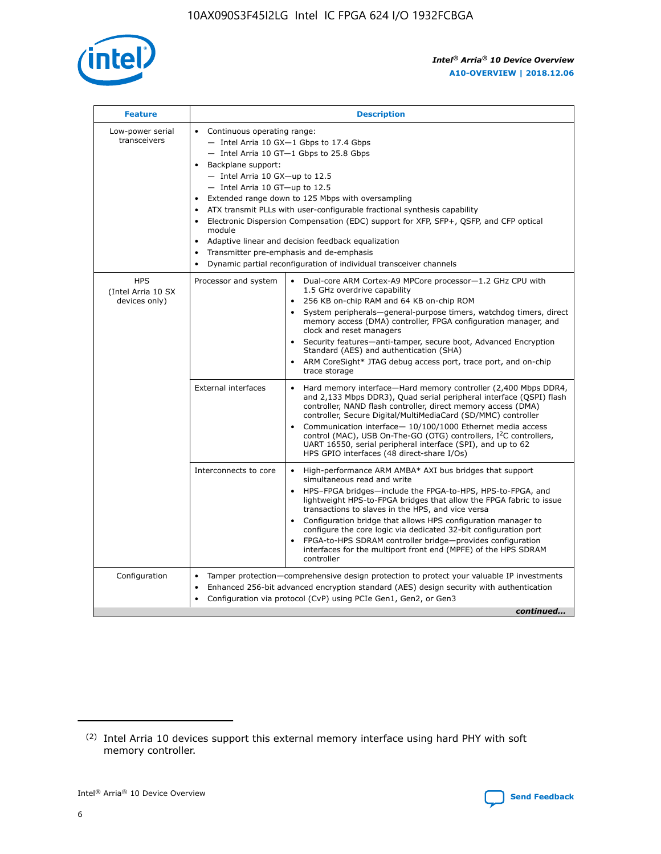

| <b>Feature</b>                                    | <b>Description</b>                                                                                                                                                                                                                                                                                                                                                                                                                                                                                                                                                                                                                           |  |  |  |  |  |  |  |
|---------------------------------------------------|----------------------------------------------------------------------------------------------------------------------------------------------------------------------------------------------------------------------------------------------------------------------------------------------------------------------------------------------------------------------------------------------------------------------------------------------------------------------------------------------------------------------------------------------------------------------------------------------------------------------------------------------|--|--|--|--|--|--|--|
| Low-power serial<br>transceivers                  | • Continuous operating range:<br>- Intel Arria 10 GX-1 Gbps to 17.4 Gbps<br>- Intel Arria 10 GT-1 Gbps to 25.8 Gbps<br>Backplane support:<br>$-$ Intel Arria 10 GX-up to 12.5<br>$-$ Intel Arria 10 GT-up to 12.5<br>Extended range down to 125 Mbps with oversampling<br>ATX transmit PLLs with user-configurable fractional synthesis capability<br>Electronic Dispersion Compensation (EDC) support for XFP, SFP+, QSFP, and CFP optical<br>module<br>• Adaptive linear and decision feedback equalization<br>Transmitter pre-emphasis and de-emphasis<br>$\bullet$<br>Dynamic partial reconfiguration of individual transceiver channels |  |  |  |  |  |  |  |
| <b>HPS</b><br>(Intel Arria 10 SX<br>devices only) | Dual-core ARM Cortex-A9 MPCore processor-1.2 GHz CPU with<br>Processor and system<br>$\bullet$<br>1.5 GHz overdrive capability<br>256 KB on-chip RAM and 64 KB on-chip ROM<br>System peripherals-general-purpose timers, watchdog timers, direct<br>memory access (DMA) controller, FPGA configuration manager, and<br>clock and reset managers<br>Security features-anti-tamper, secure boot, Advanced Encryption<br>$\bullet$<br>Standard (AES) and authentication (SHA)<br>ARM CoreSight* JTAG debug access port, trace port, and on-chip<br>trace storage                                                                                |  |  |  |  |  |  |  |
|                                                   | <b>External interfaces</b><br>Hard memory interface-Hard memory controller (2,400 Mbps DDR4,<br>$\bullet$<br>and 2,133 Mbps DDR3), Quad serial peripheral interface (QSPI) flash<br>controller, NAND flash controller, direct memory access (DMA)<br>controller, Secure Digital/MultiMediaCard (SD/MMC) controller<br>Communication interface-10/100/1000 Ethernet media access<br>$\bullet$<br>control (MAC), USB On-The-GO (OTG) controllers, I <sup>2</sup> C controllers,<br>UART 16550, serial peripheral interface (SPI), and up to 62<br>HPS GPIO interfaces (48 direct-share I/Os)                                                   |  |  |  |  |  |  |  |
|                                                   | High-performance ARM AMBA* AXI bus bridges that support<br>Interconnects to core<br>$\bullet$<br>simultaneous read and write<br>HPS-FPGA bridges-include the FPGA-to-HPS, HPS-to-FPGA, and<br>$\bullet$<br>lightweight HPS-to-FPGA bridges that allow the FPGA fabric to issue<br>transactions to slaves in the HPS, and vice versa<br>Configuration bridge that allows HPS configuration manager to<br>configure the core logic via dedicated 32-bit configuration port<br>FPGA-to-HPS SDRAM controller bridge-provides configuration<br>interfaces for the multiport front end (MPFE) of the HPS SDRAM<br>controller                       |  |  |  |  |  |  |  |
| Configuration                                     | Tamper protection—comprehensive design protection to protect your valuable IP investments<br>Enhanced 256-bit advanced encryption standard (AES) design security with authentication<br>٠<br>Configuration via protocol (CvP) using PCIe Gen1, Gen2, or Gen3<br>continued                                                                                                                                                                                                                                                                                                                                                                    |  |  |  |  |  |  |  |

<sup>(2)</sup> Intel Arria 10 devices support this external memory interface using hard PHY with soft memory controller.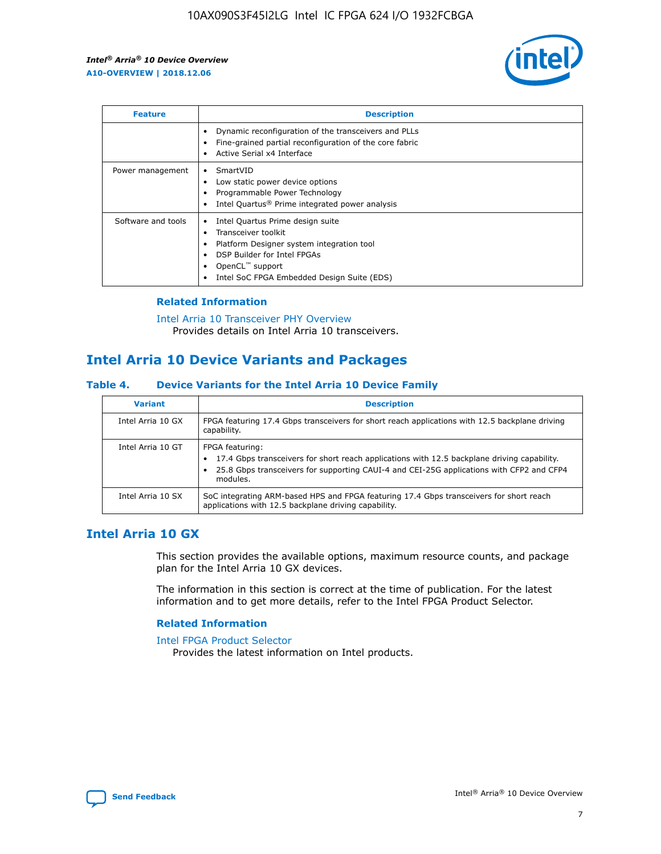

| <b>Feature</b>     | <b>Description</b>                                                                                                                                                                                               |
|--------------------|------------------------------------------------------------------------------------------------------------------------------------------------------------------------------------------------------------------|
|                    | Dynamic reconfiguration of the transceivers and PLLs<br>Fine-grained partial reconfiguration of the core fabric<br>Active Serial x4 Interface<br>$\bullet$                                                       |
| Power management   | SmartVID<br>Low static power device options<br>Programmable Power Technology<br>Intel Quartus <sup>®</sup> Prime integrated power analysis                                                                       |
| Software and tools | Intel Quartus Prime design suite<br>Transceiver toolkit<br>Platform Designer system integration tool<br>DSP Builder for Intel FPGAs<br>OpenCL <sup>™</sup> support<br>Intel SoC FPGA Embedded Design Suite (EDS) |

## **Related Information**

[Intel Arria 10 Transceiver PHY Overview](https://www.intel.com/content/www/us/en/programmable/documentation/nik1398707230472.html#nik1398706768037) Provides details on Intel Arria 10 transceivers.

# **Intel Arria 10 Device Variants and Packages**

#### **Table 4. Device Variants for the Intel Arria 10 Device Family**

| <b>Variant</b>    | <b>Description</b>                                                                                                                                                                                                     |
|-------------------|------------------------------------------------------------------------------------------------------------------------------------------------------------------------------------------------------------------------|
| Intel Arria 10 GX | FPGA featuring 17.4 Gbps transceivers for short reach applications with 12.5 backplane driving<br>capability.                                                                                                          |
| Intel Arria 10 GT | FPGA featuring:<br>17.4 Gbps transceivers for short reach applications with 12.5 backplane driving capability.<br>25.8 Gbps transceivers for supporting CAUI-4 and CEI-25G applications with CFP2 and CFP4<br>modules. |
| Intel Arria 10 SX | SoC integrating ARM-based HPS and FPGA featuring 17.4 Gbps transceivers for short reach<br>applications with 12.5 backplane driving capability.                                                                        |

# **Intel Arria 10 GX**

This section provides the available options, maximum resource counts, and package plan for the Intel Arria 10 GX devices.

The information in this section is correct at the time of publication. For the latest information and to get more details, refer to the Intel FPGA Product Selector.

#### **Related Information**

#### [Intel FPGA Product Selector](http://www.altera.com/products/selector/psg-selector.html) Provides the latest information on Intel products.

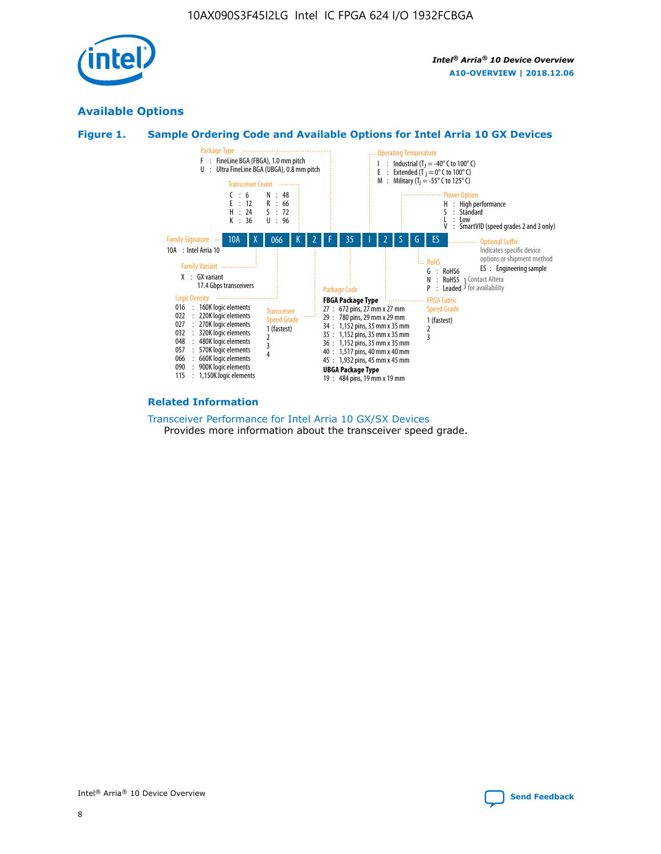

# **Available Options**





#### **Related Information**

[Transceiver Performance for Intel Arria 10 GX/SX Devices](https://www.intel.com/content/www/us/en/programmable/documentation/mcn1413182292568.html#mcn1413213965502) Provides more information about the transceiver speed grade.

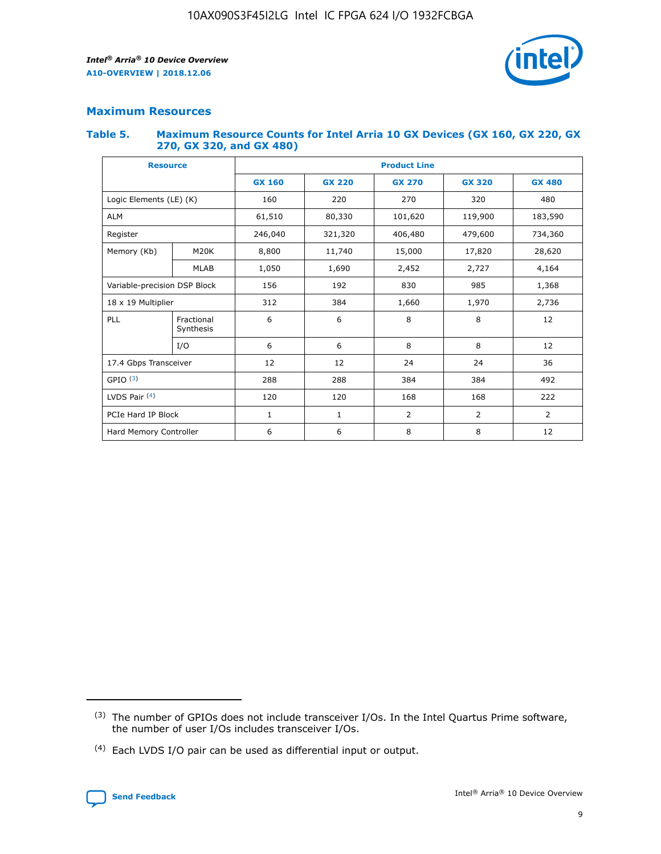

# **Maximum Resources**

#### **Table 5. Maximum Resource Counts for Intel Arria 10 GX Devices (GX 160, GX 220, GX 270, GX 320, and GX 480)**

| <b>Resource</b>              |                         | <b>Product Line</b> |                    |                |                |                |  |  |
|------------------------------|-------------------------|---------------------|--------------------|----------------|----------------|----------------|--|--|
|                              |                         | <b>GX 160</b>       | <b>GX 220</b>      | <b>GX 270</b>  | <b>GX 320</b>  | <b>GX 480</b>  |  |  |
| Logic Elements (LE) (K)      |                         | 160                 | 220                | 270            | 320            | 480            |  |  |
| <b>ALM</b>                   |                         | 61,510              | 80,330             | 101,620        | 119,900        | 183,590        |  |  |
| Register                     |                         | 246,040             | 406,480<br>321,320 |                | 479,600        | 734,360        |  |  |
| Memory (Kb)                  | M <sub>20</sub> K       | 8,800               | 11,740             | 15,000         | 17,820         | 28,620         |  |  |
|                              | <b>MLAB</b>             | 1,050               | 1,690              | 2,452          | 2,727          | 4,164          |  |  |
| Variable-precision DSP Block |                         | 156                 | 192                | 830            | 985            |                |  |  |
| 18 x 19 Multiplier           |                         | 312                 | 384                | 1,970<br>1,660 |                | 2,736          |  |  |
| PLL                          | Fractional<br>Synthesis | 6                   | 6                  | 8              | 8              | 12             |  |  |
|                              | I/O                     | 6                   | 6                  | 8              | 8              | 12             |  |  |
| 17.4 Gbps Transceiver        |                         | 12                  | 12                 | 24             | 24             | 36             |  |  |
| GPIO <sup>(3)</sup>          |                         | 288                 | 288                | 384<br>384     |                | 492            |  |  |
| LVDS Pair $(4)$              |                         | 120                 | 120                | 168            | 168            | 222            |  |  |
| PCIe Hard IP Block           |                         | 1                   | 1                  | 2              | $\overline{2}$ | $\overline{2}$ |  |  |
| Hard Memory Controller       |                         | 6                   | 6                  | 8              | 8              | 12             |  |  |

<sup>(4)</sup> Each LVDS I/O pair can be used as differential input or output.



<sup>(3)</sup> The number of GPIOs does not include transceiver I/Os. In the Intel Quartus Prime software, the number of user I/Os includes transceiver I/Os.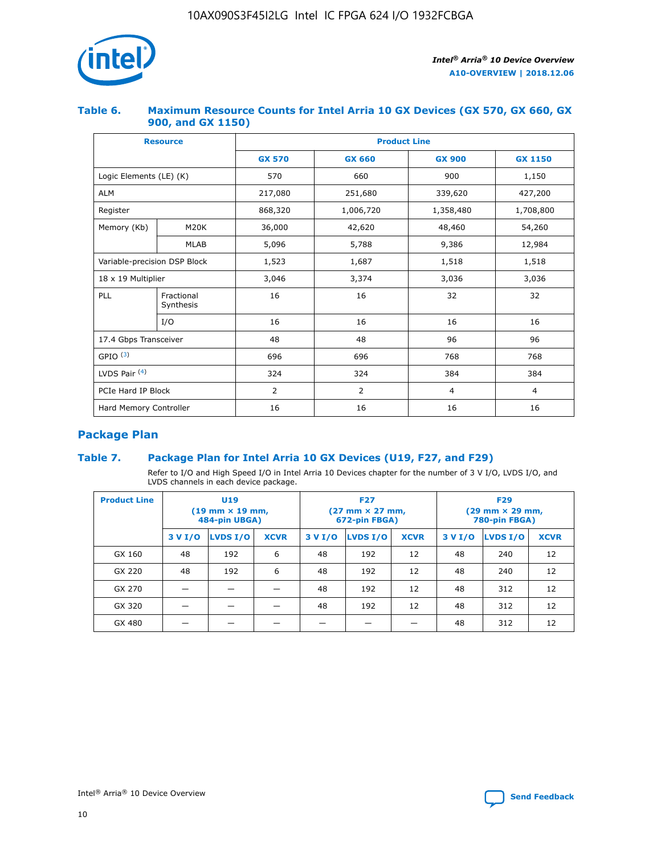

## **Table 6. Maximum Resource Counts for Intel Arria 10 GX Devices (GX 570, GX 660, GX 900, and GX 1150)**

|                              | <b>Resource</b>           | <b>Product Line</b> |                |                |                |  |  |  |
|------------------------------|---------------------------|---------------------|----------------|----------------|----------------|--|--|--|
|                              |                           | <b>GX 570</b>       | <b>GX 660</b>  | <b>GX 900</b>  | <b>GX 1150</b> |  |  |  |
| Logic Elements (LE) (K)      |                           | 570                 | 660            | 900            | 1,150          |  |  |  |
| <b>ALM</b>                   |                           | 217,080             | 251,680        | 339,620        | 427,200        |  |  |  |
| Register                     |                           | 868,320             | 1,006,720      | 1,358,480      | 1,708,800      |  |  |  |
| Memory (Kb)                  | M <sub>20</sub> K         | 36,000              | 42,620         | 48,460         | 54,260         |  |  |  |
|                              | <b>MLAB</b>               | 5,096               | 5,788          | 9,386          | 12,984         |  |  |  |
| Variable-precision DSP Block |                           | 1,523               | 1,687          | 1,518          | 1,518          |  |  |  |
|                              | $18 \times 19$ Multiplier |                     | 3,374          | 3,036          | 3,036          |  |  |  |
| PLL                          | Fractional<br>Synthesis   | 16                  | 16             | 32             | 32             |  |  |  |
|                              | I/O                       | 16                  | 16             | 16             | 16             |  |  |  |
| 17.4 Gbps Transceiver        |                           | 48                  | 48             | 96             | 96             |  |  |  |
| GPIO <sup>(3)</sup>          |                           | 696                 | 696            | 768            | 768            |  |  |  |
| LVDS Pair $(4)$              |                           | 324                 | 324<br>384     |                | 384            |  |  |  |
| PCIe Hard IP Block           |                           | 2                   | $\overline{2}$ | $\overline{4}$ | $\overline{4}$ |  |  |  |
| Hard Memory Controller       |                           | 16                  | 16             | 16             | 16             |  |  |  |

# **Package Plan**

# **Table 7. Package Plan for Intel Arria 10 GX Devices (U19, F27, and F29)**

Refer to I/O and High Speed I/O in Intel Arria 10 Devices chapter for the number of 3 V I/O, LVDS I/O, and LVDS channels in each device package.

| <b>Product Line</b> | U <sub>19</sub><br>$(19 \text{ mm} \times 19 \text{ mm})$<br>484-pin UBGA) |          |             | <b>F27</b><br>(27 mm × 27 mm,<br>672-pin FBGA) |          |             | <b>F29</b><br>(29 mm × 29 mm,<br>780-pin FBGA) |          |             |
|---------------------|----------------------------------------------------------------------------|----------|-------------|------------------------------------------------|----------|-------------|------------------------------------------------|----------|-------------|
|                     | 3 V I/O                                                                    | LVDS I/O | <b>XCVR</b> | 3 V I/O                                        | LVDS I/O | <b>XCVR</b> | 3 V I/O                                        | LVDS I/O | <b>XCVR</b> |
| GX 160              | 48                                                                         | 192      | 6           | 48                                             | 192      | 12          | 48                                             | 240      | 12          |
| GX 220              | 48                                                                         | 192      | 6           | 48                                             | 192      | 12          | 48                                             | 240      | 12          |
| GX 270              |                                                                            |          |             | 48                                             | 192      | 12          | 48                                             | 312      | 12          |
| GX 320              |                                                                            |          |             | 48                                             | 192      | 12          | 48                                             | 312      | 12          |
| GX 480              |                                                                            |          |             |                                                |          |             | 48                                             | 312      | 12          |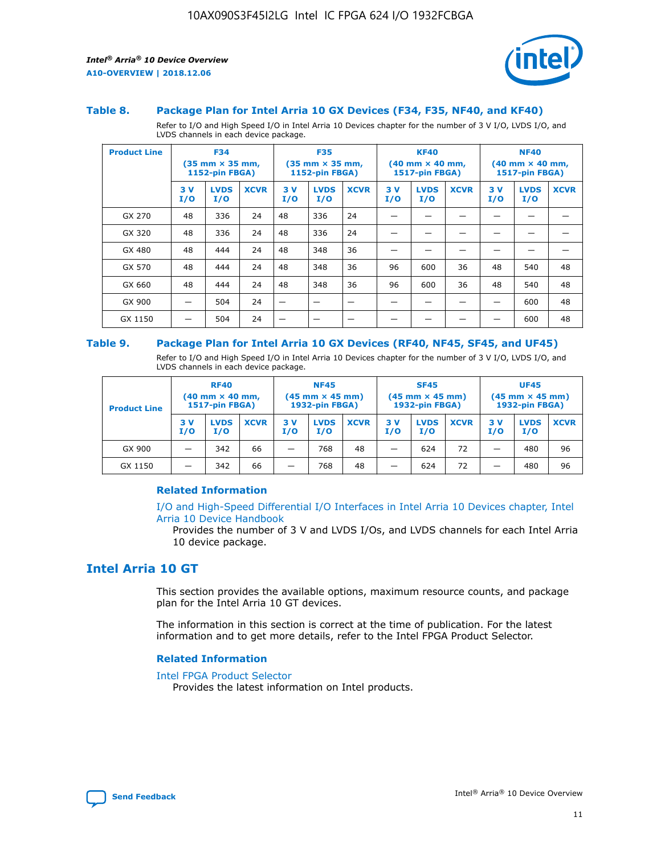

#### **Table 8. Package Plan for Intel Arria 10 GX Devices (F34, F35, NF40, and KF40)**

Refer to I/O and High Speed I/O in Intel Arria 10 Devices chapter for the number of 3 V I/O, LVDS I/O, and LVDS channels in each device package.

| <b>Product Line</b> | <b>F34</b><br>$(35 \text{ mm} \times 35 \text{ mm})$<br>1152-pin FBGA) |                    | <b>F35</b><br>$(35 \text{ mm} \times 35 \text{ mm})$<br><b>1152-pin FBGA)</b> |           | <b>KF40</b><br>$(40 \text{ mm} \times 40 \text{ mm})$<br>1517-pin FBGA) |             |            | <b>NF40</b><br>$(40 \text{ mm} \times 40 \text{ mm})$<br><b>1517-pin FBGA)</b> |             |            |                    |             |
|---------------------|------------------------------------------------------------------------|--------------------|-------------------------------------------------------------------------------|-----------|-------------------------------------------------------------------------|-------------|------------|--------------------------------------------------------------------------------|-------------|------------|--------------------|-------------|
|                     | 3V<br>I/O                                                              | <b>LVDS</b><br>I/O | <b>XCVR</b>                                                                   | 3V<br>I/O | <b>LVDS</b><br>I/O                                                      | <b>XCVR</b> | 3 V<br>I/O | <b>LVDS</b><br>I/O                                                             | <b>XCVR</b> | 3 V<br>I/O | <b>LVDS</b><br>I/O | <b>XCVR</b> |
| GX 270              | 48                                                                     | 336                | 24                                                                            | 48        | 336                                                                     | 24          |            |                                                                                |             |            |                    |             |
| GX 320              | 48                                                                     | 336                | 24                                                                            | 48        | 336                                                                     | 24          |            |                                                                                |             |            |                    |             |
| GX 480              | 48                                                                     | 444                | 24                                                                            | 48        | 348                                                                     | 36          |            |                                                                                |             |            |                    |             |
| GX 570              | 48                                                                     | 444                | 24                                                                            | 48        | 348                                                                     | 36          | 96         | 600                                                                            | 36          | 48         | 540                | 48          |
| GX 660              | 48                                                                     | 444                | 24                                                                            | 48        | 348                                                                     | 36          | 96         | 600                                                                            | 36          | 48         | 540                | 48          |
| GX 900              |                                                                        | 504                | 24                                                                            | -         |                                                                         |             |            |                                                                                |             |            | 600                | 48          |
| GX 1150             |                                                                        | 504                | 24                                                                            |           |                                                                         |             |            |                                                                                |             |            | 600                | 48          |

#### **Table 9. Package Plan for Intel Arria 10 GX Devices (RF40, NF45, SF45, and UF45)**

Refer to I/O and High Speed I/O in Intel Arria 10 Devices chapter for the number of 3 V I/O, LVDS I/O, and LVDS channels in each device package.

| <b>Product Line</b> | <b>RF40</b><br>$(40$ mm $\times$ 40 mm,<br>1517-pin FBGA) |                    | <b>NF45</b><br>$(45 \text{ mm} \times 45 \text{ mm})$<br><b>1932-pin FBGA)</b> |            |                    | <b>SF45</b><br>$(45 \text{ mm} \times 45 \text{ mm})$<br><b>1932-pin FBGA)</b> |            |                    | <b>UF45</b><br>$(45 \text{ mm} \times 45 \text{ mm})$<br><b>1932-pin FBGA)</b> |           |                    |             |
|---------------------|-----------------------------------------------------------|--------------------|--------------------------------------------------------------------------------|------------|--------------------|--------------------------------------------------------------------------------|------------|--------------------|--------------------------------------------------------------------------------|-----------|--------------------|-------------|
|                     | 3V<br>I/O                                                 | <b>LVDS</b><br>I/O | <b>XCVR</b>                                                                    | 3 V<br>I/O | <b>LVDS</b><br>I/O | <b>XCVR</b>                                                                    | 3 V<br>I/O | <b>LVDS</b><br>I/O | <b>XCVR</b>                                                                    | 3V<br>I/O | <b>LVDS</b><br>I/O | <b>XCVR</b> |
| GX 900              |                                                           | 342                | 66                                                                             | _          | 768                | 48                                                                             |            | 624                | 72                                                                             |           | 480                | 96          |
| GX 1150             |                                                           | 342                | 66                                                                             | _          | 768                | 48                                                                             |            | 624                | 72                                                                             |           | 480                | 96          |

### **Related Information**

[I/O and High-Speed Differential I/O Interfaces in Intel Arria 10 Devices chapter, Intel](https://www.intel.com/content/www/us/en/programmable/documentation/sam1403482614086.html#sam1403482030321) [Arria 10 Device Handbook](https://www.intel.com/content/www/us/en/programmable/documentation/sam1403482614086.html#sam1403482030321)

Provides the number of 3 V and LVDS I/Os, and LVDS channels for each Intel Arria 10 device package.

# **Intel Arria 10 GT**

This section provides the available options, maximum resource counts, and package plan for the Intel Arria 10 GT devices.

The information in this section is correct at the time of publication. For the latest information and to get more details, refer to the Intel FPGA Product Selector.

#### **Related Information**

#### [Intel FPGA Product Selector](http://www.altera.com/products/selector/psg-selector.html)

Provides the latest information on Intel products.

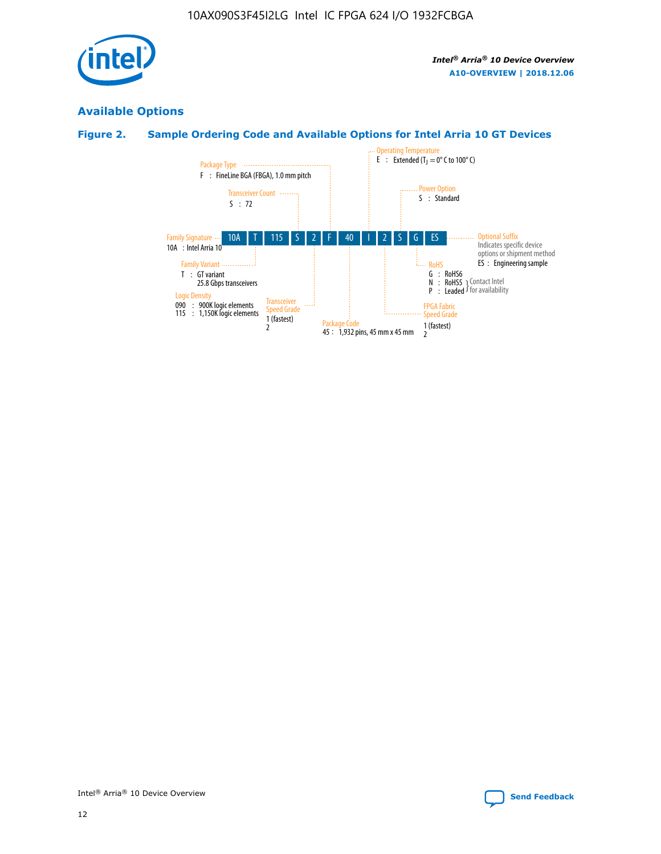

# **Available Options**

# **Figure 2. Sample Ordering Code and Available Options for Intel Arria 10 GT Devices**

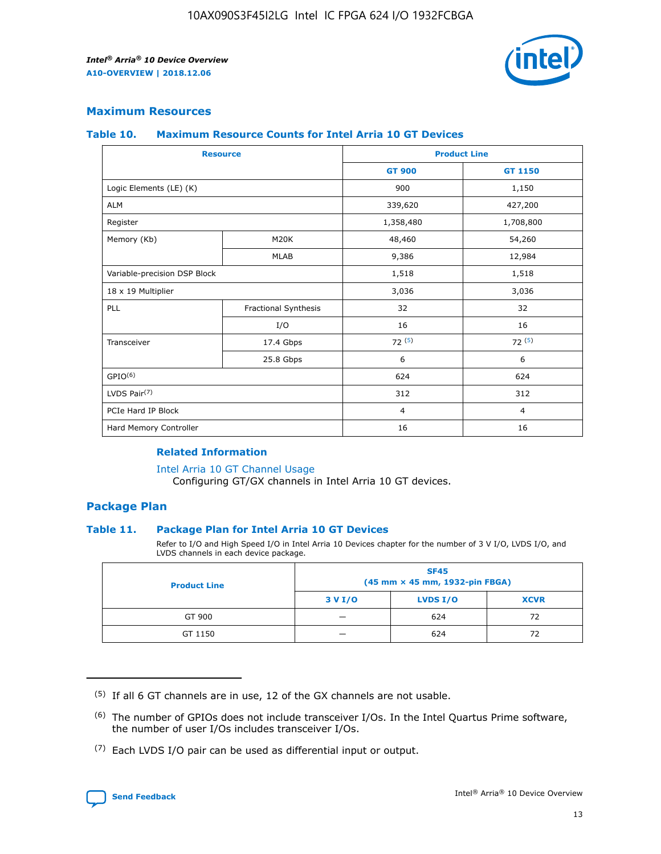

# **Maximum Resources**

#### **Table 10. Maximum Resource Counts for Intel Arria 10 GT Devices**

| <b>Resource</b>              |                      |                | <b>Product Line</b> |  |
|------------------------------|----------------------|----------------|---------------------|--|
|                              |                      | <b>GT 900</b>  | <b>GT 1150</b>      |  |
| Logic Elements (LE) (K)      |                      | 900            | 1,150               |  |
| <b>ALM</b>                   |                      | 339,620        | 427,200             |  |
| Register                     |                      | 1,358,480      | 1,708,800           |  |
| Memory (Kb)                  | M <sub>20</sub> K    | 48,460         | 54,260              |  |
|                              | <b>MLAB</b>          | 9,386          | 12,984              |  |
| Variable-precision DSP Block |                      | 1,518          | 1,518               |  |
| 18 x 19 Multiplier           |                      | 3,036          | 3,036               |  |
| PLL                          | Fractional Synthesis | 32             | 32                  |  |
|                              | I/O                  | 16             | 16                  |  |
| Transceiver                  | 17.4 Gbps            | 72(5)          | 72(5)               |  |
|                              | 25.8 Gbps            | 6              | 6                   |  |
| GPIO <sup>(6)</sup>          |                      | 624            | 624                 |  |
| LVDS Pair $(7)$              |                      | 312            | 312                 |  |
| PCIe Hard IP Block           |                      | $\overline{4}$ | $\overline{4}$      |  |
| Hard Memory Controller       |                      | 16             | 16                  |  |

#### **Related Information**

#### [Intel Arria 10 GT Channel Usage](https://www.intel.com/content/www/us/en/programmable/documentation/nik1398707230472.html#nik1398707008178)

Configuring GT/GX channels in Intel Arria 10 GT devices.

## **Package Plan**

### **Table 11. Package Plan for Intel Arria 10 GT Devices**

Refer to I/O and High Speed I/O in Intel Arria 10 Devices chapter for the number of 3 V I/O, LVDS I/O, and LVDS channels in each device package.

| <b>Product Line</b> | <b>SF45</b><br>(45 mm × 45 mm, 1932-pin FBGA) |                 |             |  |  |  |
|---------------------|-----------------------------------------------|-----------------|-------------|--|--|--|
|                     | 3 V I/O                                       | <b>LVDS I/O</b> | <b>XCVR</b> |  |  |  |
| GT 900              |                                               | 624             | 72          |  |  |  |
| GT 1150             |                                               | 624             | 72          |  |  |  |

<sup>(7)</sup> Each LVDS I/O pair can be used as differential input or output.



 $(5)$  If all 6 GT channels are in use, 12 of the GX channels are not usable.

<sup>(6)</sup> The number of GPIOs does not include transceiver I/Os. In the Intel Quartus Prime software, the number of user I/Os includes transceiver I/Os.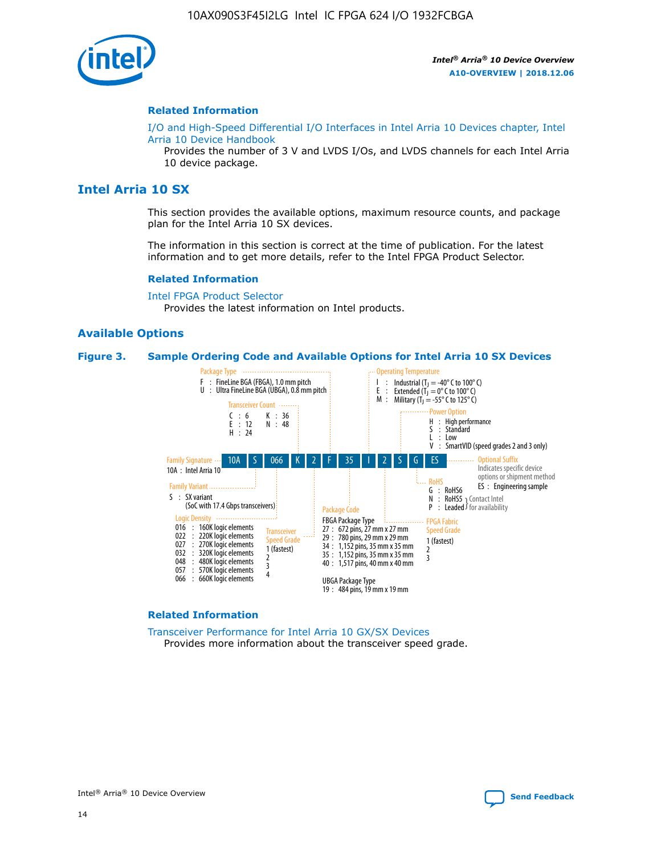

#### **Related Information**

[I/O and High-Speed Differential I/O Interfaces in Intel Arria 10 Devices chapter, Intel](https://www.intel.com/content/www/us/en/programmable/documentation/sam1403482614086.html#sam1403482030321) [Arria 10 Device Handbook](https://www.intel.com/content/www/us/en/programmable/documentation/sam1403482614086.html#sam1403482030321)

Provides the number of 3 V and LVDS I/Os, and LVDS channels for each Intel Arria 10 device package.

# **Intel Arria 10 SX**

This section provides the available options, maximum resource counts, and package plan for the Intel Arria 10 SX devices.

The information in this section is correct at the time of publication. For the latest information and to get more details, refer to the Intel FPGA Product Selector.

#### **Related Information**

[Intel FPGA Product Selector](http://www.altera.com/products/selector/psg-selector.html) Provides the latest information on Intel products.

#### **Available Options**

#### **Figure 3. Sample Ordering Code and Available Options for Intel Arria 10 SX Devices**



#### **Related Information**

[Transceiver Performance for Intel Arria 10 GX/SX Devices](https://www.intel.com/content/www/us/en/programmable/documentation/mcn1413182292568.html#mcn1413213965502) Provides more information about the transceiver speed grade.

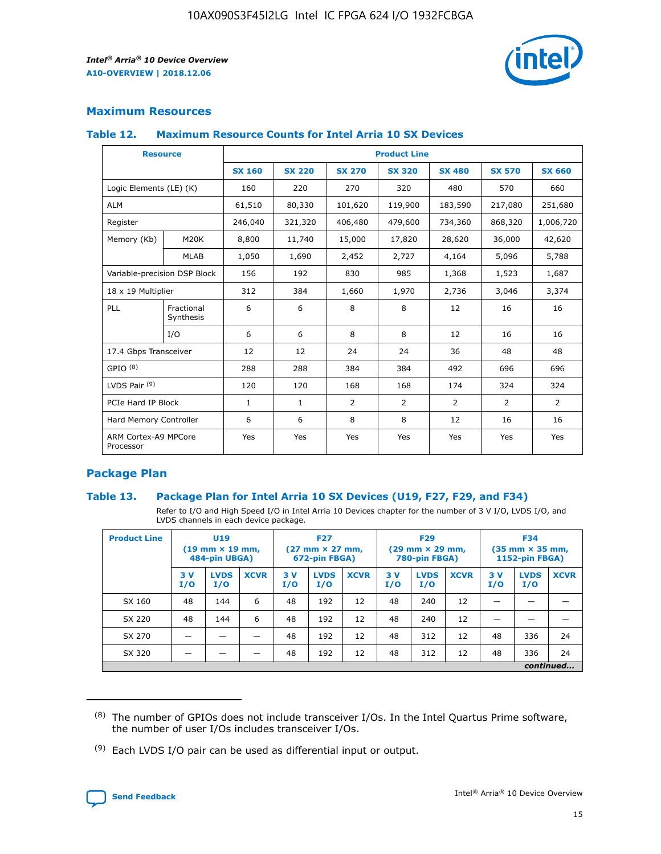

# **Maximum Resources**

#### **Table 12. Maximum Resource Counts for Intel Arria 10 SX Devices**

|                                   | <b>Resource</b>         | <b>Product Line</b> |               |                |                |                |                |                |  |  |  |
|-----------------------------------|-------------------------|---------------------|---------------|----------------|----------------|----------------|----------------|----------------|--|--|--|
|                                   |                         | <b>SX 160</b>       | <b>SX 220</b> | <b>SX 270</b>  | <b>SX 320</b>  | <b>SX 480</b>  | <b>SX 570</b>  | <b>SX 660</b>  |  |  |  |
| Logic Elements (LE) (K)           |                         | 160                 | 220           | 270            | 320            | 480            | 570            | 660            |  |  |  |
| <b>ALM</b>                        |                         | 61,510              | 80,330        | 101,620        | 119,900        | 183,590        | 217,080        | 251,680        |  |  |  |
| Register                          |                         | 246,040             | 321,320       | 406,480        | 479,600        | 734,360        | 868,320        | 1,006,720      |  |  |  |
| Memory (Kb)                       | M <sub>20</sub> K       | 8,800               | 11,740        | 15,000         | 17,820         | 28,620         | 36,000         | 42,620         |  |  |  |
|                                   | <b>MLAB</b>             | 1,050               | 1,690         | 2,452          | 2,727          | 4,164          | 5,096          | 5,788          |  |  |  |
| Variable-precision DSP Block      |                         | 156                 | 192           | 830            | 985            | 1,368          | 1,523          | 1,687          |  |  |  |
| 18 x 19 Multiplier                |                         | 312                 | 384           | 1,660          | 1,970          | 2,736          | 3,046          | 3,374          |  |  |  |
| <b>PLL</b>                        | Fractional<br>Synthesis | 6                   | 6             | 8              | 8              | 12             | 16             | 16             |  |  |  |
|                                   | I/O                     | 6                   | 6             | 8              | 8              | 12             | 16             | 16             |  |  |  |
| 17.4 Gbps Transceiver             |                         | 12                  | 12            | 24             | 24             | 36             | 48             | 48             |  |  |  |
| GPIO <sup>(8)</sup>               |                         | 288                 | 288           | 384            | 384            | 492            | 696            | 696            |  |  |  |
| LVDS Pair $(9)$                   |                         | 120                 | 120           | 168            | 168            | 174            | 324            | 324            |  |  |  |
| PCIe Hard IP Block                |                         | $\mathbf{1}$        | $\mathbf{1}$  | $\overline{2}$ | $\overline{2}$ | $\overline{2}$ | $\overline{2}$ | $\overline{2}$ |  |  |  |
| Hard Memory Controller            |                         | 6                   | 6             | 8              | 8              | 12             | 16             | 16             |  |  |  |
| ARM Cortex-A9 MPCore<br>Processor |                         | Yes                 | Yes           | Yes            | Yes            | Yes            | Yes            | Yes            |  |  |  |

# **Package Plan**

### **Table 13. Package Plan for Intel Arria 10 SX Devices (U19, F27, F29, and F34)**

Refer to I/O and High Speed I/O in Intel Arria 10 Devices chapter for the number of 3 V I/O, LVDS I/O, and LVDS channels in each device package.

| <b>Product Line</b> | <b>U19</b><br>$(19$ mm $\times$ 19 mm,<br>484-pin UBGA) |                    |             | <b>F27</b><br>$(27 \text{ mm} \times 27 \text{ mm})$<br>672-pin FBGA) |                    | <b>F29</b><br>$(29 \text{ mm} \times 29 \text{ mm})$<br>780-pin FBGA) |           |                    | <b>F34</b><br>$(35 \text{ mm} \times 35 \text{ mm})$<br><b>1152-pin FBGA)</b> |           |                    |             |
|---------------------|---------------------------------------------------------|--------------------|-------------|-----------------------------------------------------------------------|--------------------|-----------------------------------------------------------------------|-----------|--------------------|-------------------------------------------------------------------------------|-----------|--------------------|-------------|
|                     | 3V<br>I/O                                               | <b>LVDS</b><br>I/O | <b>XCVR</b> | 3V<br>I/O                                                             | <b>LVDS</b><br>I/O | <b>XCVR</b>                                                           | 3V<br>I/O | <b>LVDS</b><br>I/O | <b>XCVR</b>                                                                   | 3V<br>I/O | <b>LVDS</b><br>I/O | <b>XCVR</b> |
| SX 160              | 48                                                      | 144                | 6           | 48                                                                    | 192                | 12                                                                    | 48        | 240                | 12                                                                            | -         |                    |             |
| SX 220              | 48                                                      | 144                | 6           | 48                                                                    | 192                | 12                                                                    | 48        | 240                | 12                                                                            |           |                    |             |
| SX 270              |                                                         |                    |             | 48                                                                    | 192                | 12                                                                    | 48        | 312                | 12                                                                            | 48        | 336                | 24          |
| SX 320              |                                                         |                    |             | 48                                                                    | 192                | 12                                                                    | 48        | 312                | 12                                                                            | 48        | 336                | 24          |
|                     | continued                                               |                    |             |                                                                       |                    |                                                                       |           |                    |                                                                               |           |                    |             |

 $(8)$  The number of GPIOs does not include transceiver I/Os. In the Intel Quartus Prime software, the number of user I/Os includes transceiver I/Os.

 $(9)$  Each LVDS I/O pair can be used as differential input or output.

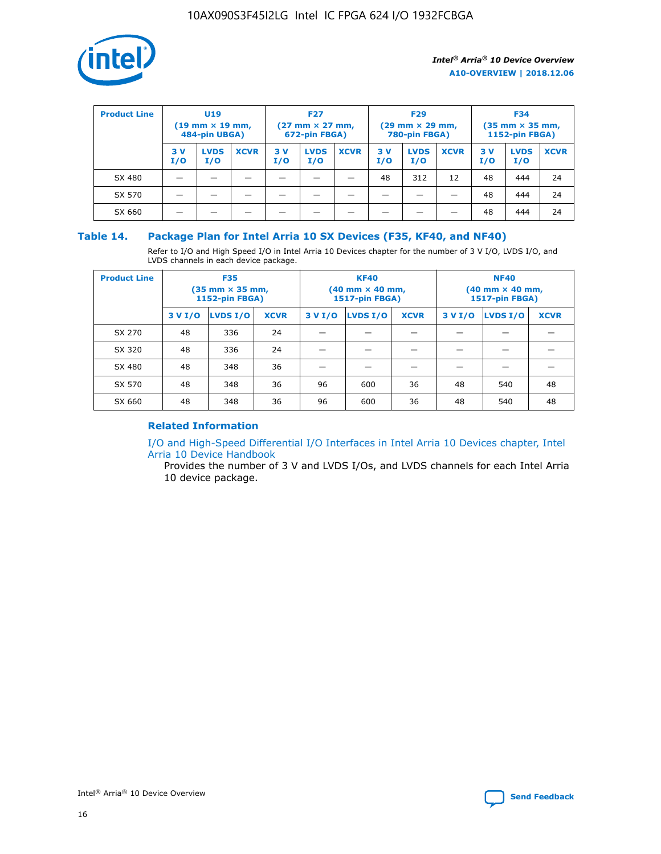

| <b>Product Line</b> | U <sub>19</sub><br>$(19 \text{ mm} \times 19 \text{ mm})$<br>484-pin UBGA) |                    | <b>F27</b><br>$(27 \text{ mm} \times 27 \text{ mm})$<br>672-pin FBGA) |           | <b>F29</b><br>$(29 \text{ mm} \times 29 \text{ mm})$<br>780-pin FBGA) |             |           | <b>F34</b><br>$(35 \text{ mm} \times 35 \text{ mm})$<br><b>1152-pin FBGA)</b> |             |           |                    |             |
|---------------------|----------------------------------------------------------------------------|--------------------|-----------------------------------------------------------------------|-----------|-----------------------------------------------------------------------|-------------|-----------|-------------------------------------------------------------------------------|-------------|-----------|--------------------|-------------|
|                     | 3 V<br>I/O                                                                 | <b>LVDS</b><br>I/O | <b>XCVR</b>                                                           | 3V<br>I/O | <b>LVDS</b><br>I/O                                                    | <b>XCVR</b> | 3V<br>I/O | <b>LVDS</b><br>I/O                                                            | <b>XCVR</b> | 3V<br>I/O | <b>LVDS</b><br>I/O | <b>XCVR</b> |
| SX 480              |                                                                            |                    |                                                                       |           |                                                                       |             | 48        | 312                                                                           | 12          | 48        | 444                | 24          |
| SX 570              |                                                                            |                    |                                                                       |           |                                                                       |             |           |                                                                               |             | 48        | 444                | 24          |
| SX 660              |                                                                            |                    |                                                                       |           |                                                                       |             |           |                                                                               |             | 48        | 444                | 24          |

## **Table 14. Package Plan for Intel Arria 10 SX Devices (F35, KF40, and NF40)**

Refer to I/O and High Speed I/O in Intel Arria 10 Devices chapter for the number of 3 V I/O, LVDS I/O, and LVDS channels in each device package.

| <b>Product Line</b> | <b>F35</b><br>(35 mm × 35 mm,<br><b>1152-pin FBGA)</b> |                 |             |                                           | <b>KF40</b><br>(40 mm × 40 mm,<br>1517-pin FBGA) |    | <b>NF40</b><br>(40 mm × 40 mm,<br>1517-pin FBGA) |          |             |  |
|---------------------|--------------------------------------------------------|-----------------|-------------|-------------------------------------------|--------------------------------------------------|----|--------------------------------------------------|----------|-------------|--|
|                     | 3 V I/O                                                | <b>LVDS I/O</b> | <b>XCVR</b> | <b>LVDS I/O</b><br><b>XCVR</b><br>3 V I/O |                                                  |    | 3 V I/O                                          | LVDS I/O | <b>XCVR</b> |  |
| SX 270              | 48                                                     | 336             | 24          |                                           |                                                  |    |                                                  |          |             |  |
| SX 320              | 48                                                     | 336             | 24          |                                           |                                                  |    |                                                  |          |             |  |
| SX 480              | 48                                                     | 348             | 36          |                                           |                                                  |    |                                                  |          |             |  |
| SX 570              | 48                                                     | 348             | 36          | 96<br>36<br>600                           |                                                  |    | 48                                               | 540      | 48          |  |
| SX 660              | 48                                                     | 348             | 36          | 96                                        | 600                                              | 36 | 48                                               | 540      | 48          |  |

# **Related Information**

[I/O and High-Speed Differential I/O Interfaces in Intel Arria 10 Devices chapter, Intel](https://www.intel.com/content/www/us/en/programmable/documentation/sam1403482614086.html#sam1403482030321) [Arria 10 Device Handbook](https://www.intel.com/content/www/us/en/programmable/documentation/sam1403482614086.html#sam1403482030321)

Provides the number of 3 V and LVDS I/Os, and LVDS channels for each Intel Arria 10 device package.

Intel<sup>®</sup> Arria<sup>®</sup> 10 Device Overview **[Send Feedback](mailto:FPGAtechdocfeedback@intel.com?subject=Feedback%20on%20Intel%20Arria%2010%20Device%20Overview%20(A10-OVERVIEW%202018.12.06)&body=We%20appreciate%20your%20feedback.%20In%20your%20comments,%20also%20specify%20the%20page%20number%20or%20paragraph.%20Thank%20you.)** Send Feedback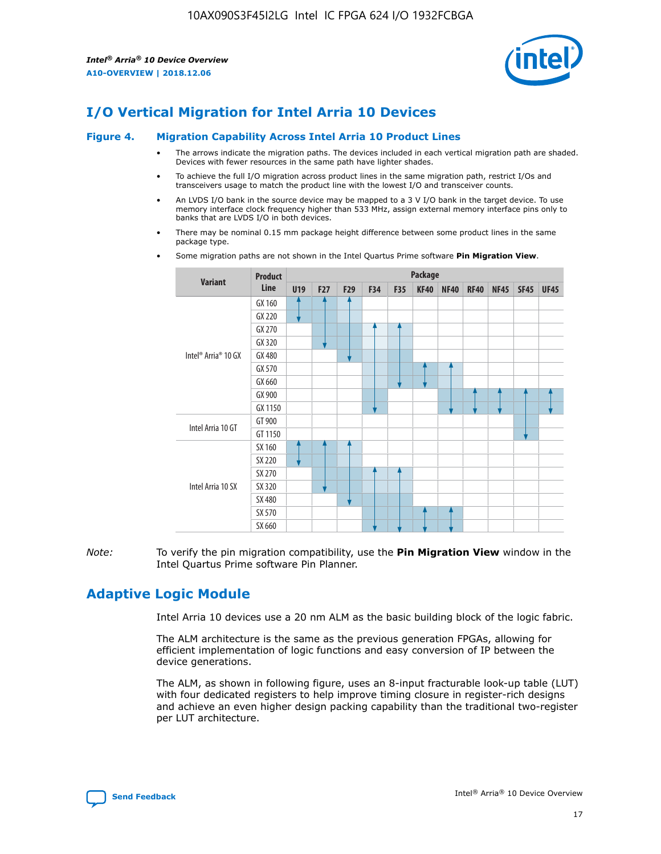

# **I/O Vertical Migration for Intel Arria 10 Devices**

#### **Figure 4. Migration Capability Across Intel Arria 10 Product Lines**

- The arrows indicate the migration paths. The devices included in each vertical migration path are shaded. Devices with fewer resources in the same path have lighter shades.
- To achieve the full I/O migration across product lines in the same migration path, restrict I/Os and transceivers usage to match the product line with the lowest I/O and transceiver counts.
- An LVDS I/O bank in the source device may be mapped to a 3 V I/O bank in the target device. To use memory interface clock frequency higher than 533 MHz, assign external memory interface pins only to banks that are LVDS I/O in both devices.
- There may be nominal 0.15 mm package height difference between some product lines in the same package type.
	- **Variant Product Line Package U19 F27 F29 F34 F35 KF40 NF40 RF40 NF45 SF45 UF45** Intel® Arria® 10 GX GX 160 GX 220 GX 270 GX 320 GX 480 GX 570 GX 660 GX 900 GX 1150 Intel Arria 10 GT GT 900 GT 1150 Intel Arria 10 SX SX 160 SX 220 SX 270 SX 320 SX 480 SX 570 SX 660
- Some migration paths are not shown in the Intel Quartus Prime software **Pin Migration View**.

*Note:* To verify the pin migration compatibility, use the **Pin Migration View** window in the Intel Quartus Prime software Pin Planner.

# **Adaptive Logic Module**

Intel Arria 10 devices use a 20 nm ALM as the basic building block of the logic fabric.

The ALM architecture is the same as the previous generation FPGAs, allowing for efficient implementation of logic functions and easy conversion of IP between the device generations.

The ALM, as shown in following figure, uses an 8-input fracturable look-up table (LUT) with four dedicated registers to help improve timing closure in register-rich designs and achieve an even higher design packing capability than the traditional two-register per LUT architecture.

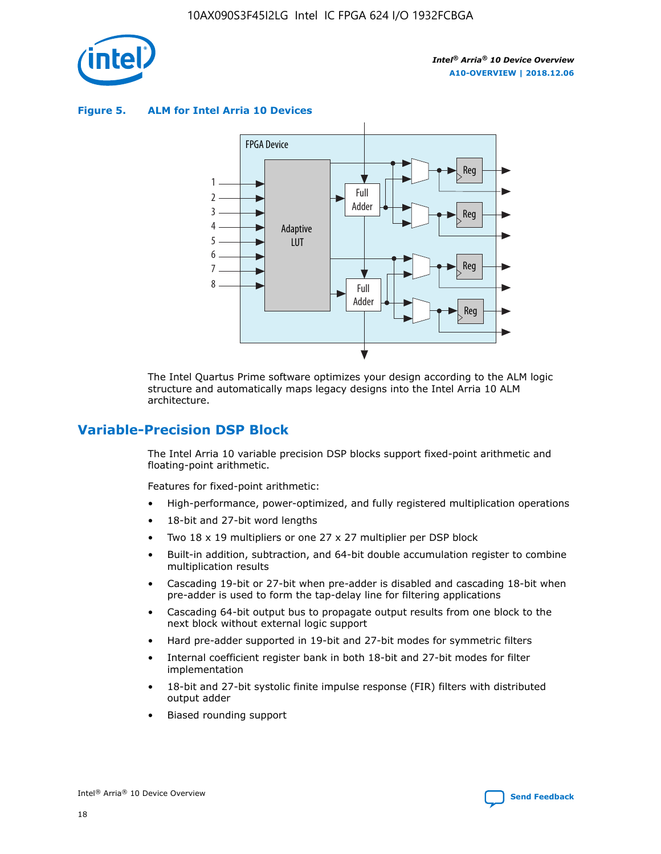

**Figure 5. ALM for Intel Arria 10 Devices**



The Intel Quartus Prime software optimizes your design according to the ALM logic structure and automatically maps legacy designs into the Intel Arria 10 ALM architecture.

# **Variable-Precision DSP Block**

The Intel Arria 10 variable precision DSP blocks support fixed-point arithmetic and floating-point arithmetic.

Features for fixed-point arithmetic:

- High-performance, power-optimized, and fully registered multiplication operations
- 18-bit and 27-bit word lengths
- Two 18 x 19 multipliers or one 27 x 27 multiplier per DSP block
- Built-in addition, subtraction, and 64-bit double accumulation register to combine multiplication results
- Cascading 19-bit or 27-bit when pre-adder is disabled and cascading 18-bit when pre-adder is used to form the tap-delay line for filtering applications
- Cascading 64-bit output bus to propagate output results from one block to the next block without external logic support
- Hard pre-adder supported in 19-bit and 27-bit modes for symmetric filters
- Internal coefficient register bank in both 18-bit and 27-bit modes for filter implementation
- 18-bit and 27-bit systolic finite impulse response (FIR) filters with distributed output adder
- Biased rounding support

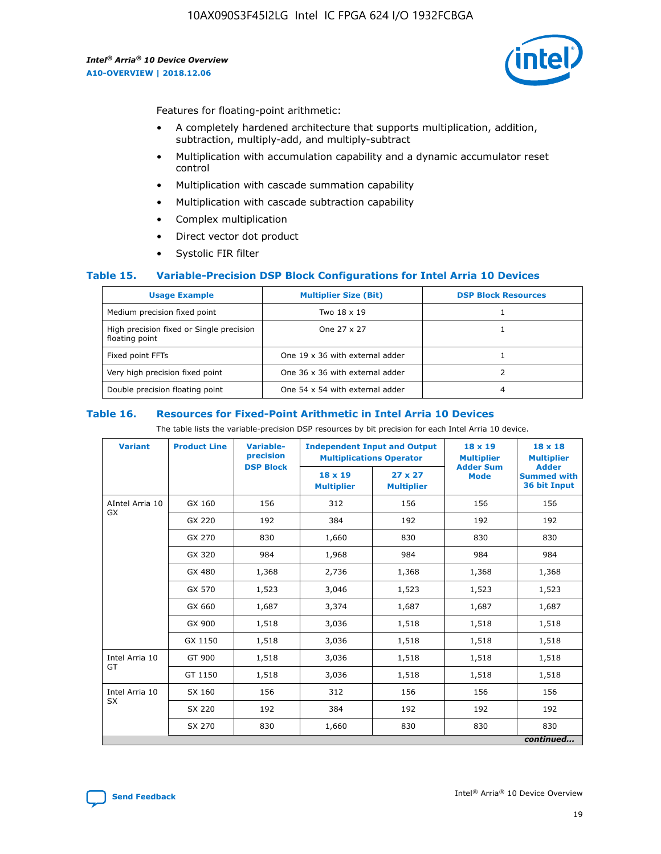

Features for floating-point arithmetic:

- A completely hardened architecture that supports multiplication, addition, subtraction, multiply-add, and multiply-subtract
- Multiplication with accumulation capability and a dynamic accumulator reset control
- Multiplication with cascade summation capability
- Multiplication with cascade subtraction capability
- Complex multiplication
- Direct vector dot product
- Systolic FIR filter

### **Table 15. Variable-Precision DSP Block Configurations for Intel Arria 10 Devices**

| <b>Usage Example</b>                                       | <b>Multiplier Size (Bit)</b>    | <b>DSP Block Resources</b> |
|------------------------------------------------------------|---------------------------------|----------------------------|
| Medium precision fixed point                               | Two 18 x 19                     |                            |
| High precision fixed or Single precision<br>floating point | One 27 x 27                     |                            |
| Fixed point FFTs                                           | One 19 x 36 with external adder |                            |
| Very high precision fixed point                            | One 36 x 36 with external adder |                            |
| Double precision floating point                            | One 54 x 54 with external adder | 4                          |

#### **Table 16. Resources for Fixed-Point Arithmetic in Intel Arria 10 Devices**

The table lists the variable-precision DSP resources by bit precision for each Intel Arria 10 device.

| <b>Variant</b>  | <b>Product Line</b> | Variable-<br>precision<br><b>DSP Block</b> | <b>Independent Input and Output</b><br><b>Multiplications Operator</b> |                                     | 18 x 19<br><b>Multiplier</b><br><b>Adder Sum</b> | $18 \times 18$<br><b>Multiplier</b><br><b>Adder</b> |
|-----------------|---------------------|--------------------------------------------|------------------------------------------------------------------------|-------------------------------------|--------------------------------------------------|-----------------------------------------------------|
|                 |                     |                                            | 18 x 19<br><b>Multiplier</b>                                           | $27 \times 27$<br><b>Multiplier</b> | <b>Mode</b>                                      | <b>Summed with</b><br>36 bit Input                  |
| AIntel Arria 10 | GX 160              | 156                                        | 312                                                                    | 156                                 | 156                                              | 156                                                 |
| GX              | GX 220              | 192                                        | 384                                                                    | 192                                 | 192                                              | 192                                                 |
|                 | GX 270              | 830                                        | 1,660                                                                  | 830                                 | 830                                              | 830                                                 |
|                 | GX 320              | 984                                        | 1,968                                                                  | 984                                 | 984                                              | 984                                                 |
|                 | GX 480              | 1,368                                      | 2,736                                                                  | 1,368                               | 1,368                                            | 1,368                                               |
|                 | GX 570              | 1,523                                      | 3,046                                                                  | 1,523                               | 1,523                                            | 1,523                                               |
|                 | GX 660              | 1,687                                      | 3,374                                                                  | 1,687                               | 1,687                                            | 1,687                                               |
|                 | GX 900              | 1,518                                      | 3,036                                                                  | 1,518                               | 1,518                                            | 1,518                                               |
|                 | GX 1150             | 1,518                                      | 3,036                                                                  | 1,518                               | 1,518                                            | 1,518                                               |
| Intel Arria 10  | GT 900              | 1,518                                      | 3,036                                                                  | 1,518                               | 1,518                                            | 1,518                                               |
| GT              | GT 1150             | 1,518                                      | 3,036                                                                  | 1,518                               | 1,518                                            | 1,518                                               |
| Intel Arria 10  | SX 160              | 156                                        | 312                                                                    | 156                                 | 156                                              | 156                                                 |
| <b>SX</b>       | SX 220              | 192                                        | 384                                                                    | 192                                 | 192                                              | 192                                                 |
|                 | SX 270              | 830                                        | 1,660                                                                  | 830                                 | 830                                              | 830                                                 |
|                 |                     |                                            |                                                                        |                                     |                                                  | continued                                           |

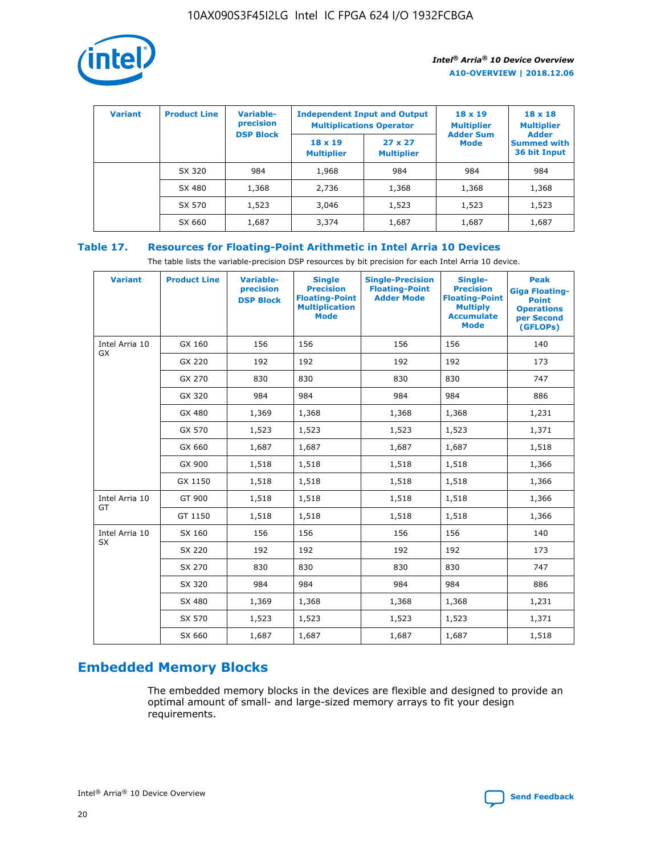

| <b>Variant</b> | <b>Product Line</b> | <b>Variable-</b><br>precision |                                     | <b>Independent Input and Output</b><br><b>Multiplications Operator</b> | $18 \times 19$<br><b>Multiplier</b> | $18 \times 18$<br><b>Multiplier</b>                |
|----------------|---------------------|-------------------------------|-------------------------------------|------------------------------------------------------------------------|-------------------------------------|----------------------------------------------------|
|                |                     | <b>DSP Block</b>              | $18 \times 19$<br><b>Multiplier</b> | $27 \times 27$<br><b>Multiplier</b>                                    | <b>Adder Sum</b><br>Mode            | <b>Adder</b><br><b>Summed with</b><br>36 bit Input |
|                | SX 320              | 984                           | 1,968                               | 984                                                                    | 984                                 | 984                                                |
|                | SX 480              | 1,368                         | 2,736                               | 1,368                                                                  | 1,368                               | 1,368                                              |
|                | SX 570              | 1,523                         | 3,046                               | 1,523                                                                  | 1,523                               | 1,523                                              |
|                | SX 660              | 1,687                         | 3,374                               | 1,687                                                                  | 1,687                               | 1,687                                              |

# **Table 17. Resources for Floating-Point Arithmetic in Intel Arria 10 Devices**

The table lists the variable-precision DSP resources by bit precision for each Intel Arria 10 device.

| <b>Variant</b>              | <b>Product Line</b> | <b>Variable-</b><br>precision<br><b>DSP Block</b> | <b>Single</b><br><b>Precision</b><br><b>Floating-Point</b><br><b>Multiplication</b><br><b>Mode</b> | <b>Single-Precision</b><br><b>Floating-Point</b><br><b>Adder Mode</b> | Single-<br><b>Precision</b><br><b>Floating-Point</b><br><b>Multiply</b><br><b>Accumulate</b><br><b>Mode</b> | <b>Peak</b><br><b>Giga Floating-</b><br><b>Point</b><br><b>Operations</b><br>per Second<br>(GFLOPs) |
|-----------------------------|---------------------|---------------------------------------------------|----------------------------------------------------------------------------------------------------|-----------------------------------------------------------------------|-------------------------------------------------------------------------------------------------------------|-----------------------------------------------------------------------------------------------------|
| Intel Arria 10<br>GX        | GX 160              | 156                                               | 156                                                                                                | 156                                                                   | 156                                                                                                         | 140                                                                                                 |
|                             | GX 220              | 192                                               | 192                                                                                                | 192                                                                   | 192                                                                                                         | 173                                                                                                 |
|                             | GX 270              | 830                                               | 830                                                                                                | 830                                                                   | 830                                                                                                         | 747                                                                                                 |
|                             | GX 320              | 984                                               | 984                                                                                                | 984                                                                   | 984                                                                                                         | 886                                                                                                 |
|                             | GX 480              | 1,369                                             | 1,368                                                                                              | 1,368                                                                 | 1,368                                                                                                       | 1,231                                                                                               |
|                             | GX 570              | 1,523                                             | 1,523                                                                                              | 1,523                                                                 | 1,523                                                                                                       | 1,371                                                                                               |
|                             | GX 660              | 1,687                                             | 1,687                                                                                              | 1,687                                                                 | 1,687                                                                                                       | 1,518                                                                                               |
|                             | GX 900              | 1,518                                             | 1,518                                                                                              | 1,518                                                                 | 1,518                                                                                                       | 1,366                                                                                               |
|                             | GX 1150             | 1,518                                             | 1,518                                                                                              | 1,518                                                                 | 1,518                                                                                                       | 1,366                                                                                               |
| Intel Arria 10              | GT 900              | 1,518                                             | 1,518                                                                                              | 1,518                                                                 | 1,518                                                                                                       | 1,366                                                                                               |
| GT                          | GT 1150             | 1,518                                             | 1,518                                                                                              | 1,518                                                                 | 1,518                                                                                                       | 1,366                                                                                               |
| Intel Arria 10<br><b>SX</b> | SX 160              | 156                                               | 156                                                                                                | 156                                                                   | 156                                                                                                         | 140                                                                                                 |
|                             | SX 220              | 192                                               | 192                                                                                                | 192                                                                   | 192                                                                                                         | 173                                                                                                 |
|                             | SX 270              | 830                                               | 830                                                                                                | 830                                                                   | 830                                                                                                         | 747                                                                                                 |
|                             | SX 320              | 984                                               | 984                                                                                                | 984                                                                   | 984                                                                                                         | 886                                                                                                 |
|                             | SX 480              | 1,369                                             | 1,368                                                                                              | 1,368                                                                 | 1,368                                                                                                       | 1,231                                                                                               |
|                             | SX 570              | 1,523                                             | 1,523                                                                                              | 1,523                                                                 | 1,523                                                                                                       | 1,371                                                                                               |
|                             | SX 660              | 1,687                                             | 1,687                                                                                              | 1,687                                                                 | 1,687                                                                                                       | 1,518                                                                                               |

# **Embedded Memory Blocks**

The embedded memory blocks in the devices are flexible and designed to provide an optimal amount of small- and large-sized memory arrays to fit your design requirements.

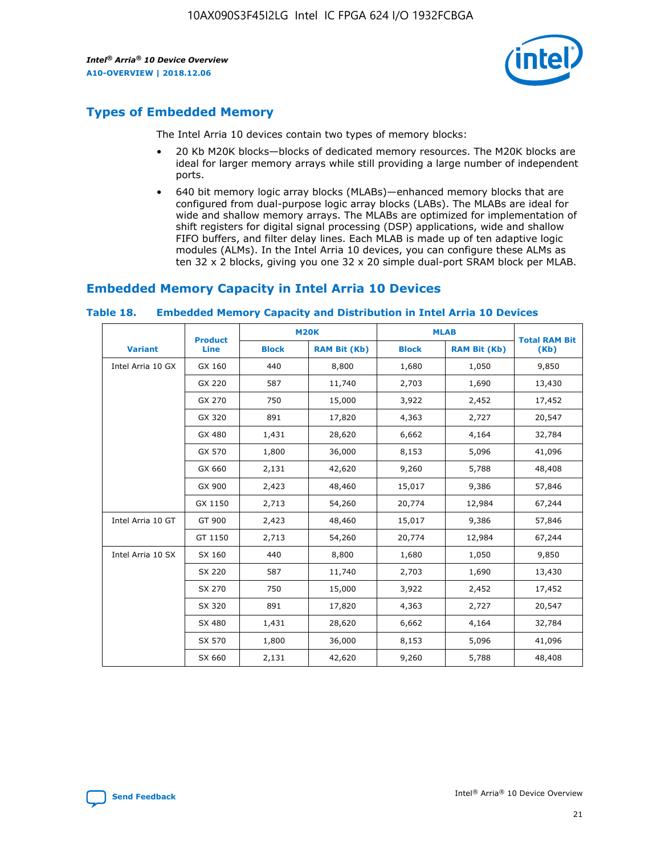

# **Types of Embedded Memory**

The Intel Arria 10 devices contain two types of memory blocks:

- 20 Kb M20K blocks—blocks of dedicated memory resources. The M20K blocks are ideal for larger memory arrays while still providing a large number of independent ports.
- 640 bit memory logic array blocks (MLABs)—enhanced memory blocks that are configured from dual-purpose logic array blocks (LABs). The MLABs are ideal for wide and shallow memory arrays. The MLABs are optimized for implementation of shift registers for digital signal processing (DSP) applications, wide and shallow FIFO buffers, and filter delay lines. Each MLAB is made up of ten adaptive logic modules (ALMs). In the Intel Arria 10 devices, you can configure these ALMs as ten 32 x 2 blocks, giving you one 32 x 20 simple dual-port SRAM block per MLAB.

# **Embedded Memory Capacity in Intel Arria 10 Devices**

|                   | <b>Product</b> |              | <b>M20K</b>         | <b>MLAB</b>  |                     | <b>Total RAM Bit</b> |
|-------------------|----------------|--------------|---------------------|--------------|---------------------|----------------------|
| <b>Variant</b>    | <b>Line</b>    | <b>Block</b> | <b>RAM Bit (Kb)</b> | <b>Block</b> | <b>RAM Bit (Kb)</b> | (Kb)                 |
| Intel Arria 10 GX | GX 160         | 440          | 8,800               | 1,680        | 1,050               | 9,850                |
|                   | GX 220         | 587          | 11,740              | 2,703        | 1,690               | 13,430               |
|                   | GX 270         | 750          | 15,000              | 3,922        | 2,452               | 17,452               |
|                   | GX 320         | 891          | 17,820              | 4,363        | 2,727               | 20,547               |
|                   | GX 480         | 1,431        | 28,620              | 6,662        | 4,164               | 32,784               |
|                   | GX 570         | 1,800        | 36,000              | 8,153        | 5,096               | 41,096               |
|                   | GX 660         | 2,131        | 42,620              | 9,260        | 5,788               | 48,408               |
|                   | GX 900         | 2,423        | 48,460              | 15,017       | 9,386               | 57,846               |
|                   | GX 1150        | 2,713        | 54,260              | 20,774       | 12,984              | 67,244               |
| Intel Arria 10 GT | GT 900         | 2,423        | 48,460              | 15,017       | 9,386               | 57,846               |
|                   | GT 1150        | 2,713        | 54,260              | 20,774       | 12,984              | 67,244               |
| Intel Arria 10 SX | SX 160         | 440          | 8,800               | 1,680        | 1,050               | 9,850                |
|                   | SX 220         | 587          | 11,740              | 2,703        | 1,690               | 13,430               |
|                   | SX 270         | 750          | 15,000              | 3,922        | 2,452               | 17,452               |
|                   | SX 320         | 891          | 17,820              | 4,363        | 2,727               | 20,547               |
|                   | SX 480         | 1,431        | 28,620              | 6,662        | 4,164               | 32,784               |
|                   | SX 570         | 1,800        | 36,000              | 8,153        | 5,096               | 41,096               |
|                   | SX 660         | 2,131        | 42,620              | 9,260        | 5,788               | 48,408               |

#### **Table 18. Embedded Memory Capacity and Distribution in Intel Arria 10 Devices**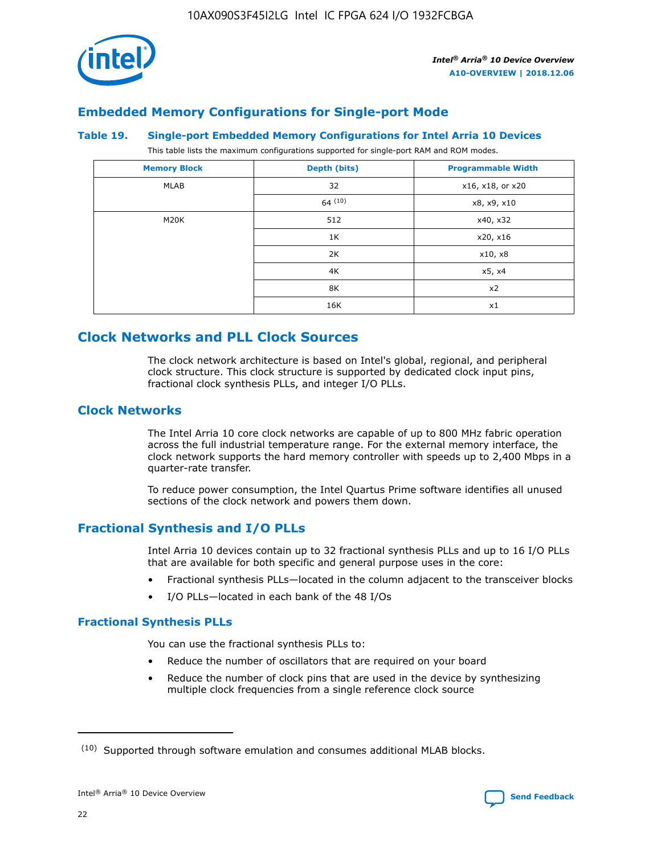

# **Embedded Memory Configurations for Single-port Mode**

#### **Table 19. Single-port Embedded Memory Configurations for Intel Arria 10 Devices**

This table lists the maximum configurations supported for single-port RAM and ROM modes.

| <b>Memory Block</b> | Depth (bits) | <b>Programmable Width</b> |
|---------------------|--------------|---------------------------|
| MLAB                | 32           | x16, x18, or x20          |
|                     | 64(10)       | x8, x9, x10               |
| M20K                | 512          | x40, x32                  |
|                     | 1K           | x20, x16                  |
|                     | 2K           | x10, x8                   |
|                     | 4K           | x5, x4                    |
|                     | 8K           | x2                        |
|                     | 16K          | x1                        |

# **Clock Networks and PLL Clock Sources**

The clock network architecture is based on Intel's global, regional, and peripheral clock structure. This clock structure is supported by dedicated clock input pins, fractional clock synthesis PLLs, and integer I/O PLLs.

## **Clock Networks**

The Intel Arria 10 core clock networks are capable of up to 800 MHz fabric operation across the full industrial temperature range. For the external memory interface, the clock network supports the hard memory controller with speeds up to 2,400 Mbps in a quarter-rate transfer.

To reduce power consumption, the Intel Quartus Prime software identifies all unused sections of the clock network and powers them down.

# **Fractional Synthesis and I/O PLLs**

Intel Arria 10 devices contain up to 32 fractional synthesis PLLs and up to 16 I/O PLLs that are available for both specific and general purpose uses in the core:

- Fractional synthesis PLLs—located in the column adjacent to the transceiver blocks
- I/O PLLs—located in each bank of the 48 I/Os

### **Fractional Synthesis PLLs**

You can use the fractional synthesis PLLs to:

- Reduce the number of oscillators that are required on your board
- Reduce the number of clock pins that are used in the device by synthesizing multiple clock frequencies from a single reference clock source

<sup>(10)</sup> Supported through software emulation and consumes additional MLAB blocks.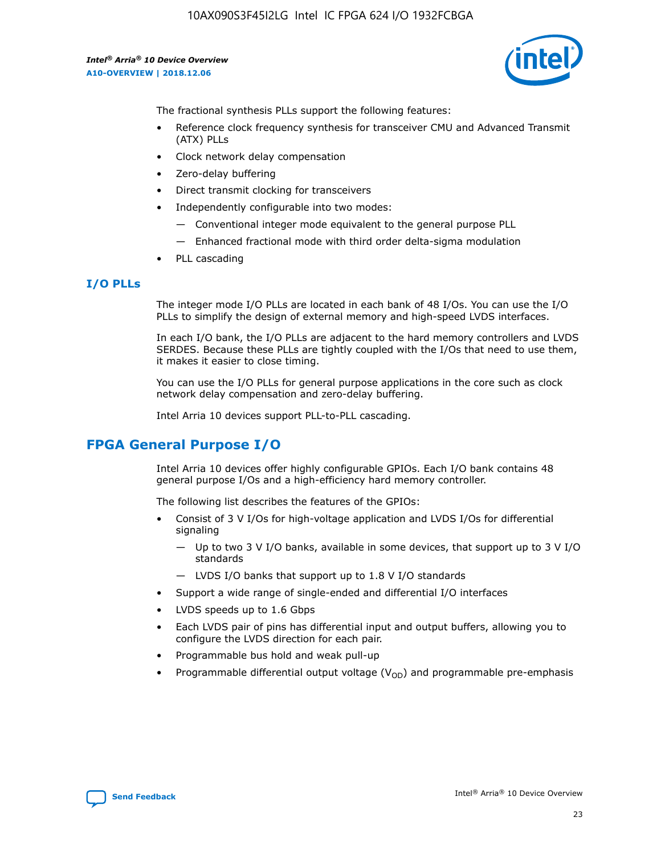

The fractional synthesis PLLs support the following features:

- Reference clock frequency synthesis for transceiver CMU and Advanced Transmit (ATX) PLLs
- Clock network delay compensation
- Zero-delay buffering
- Direct transmit clocking for transceivers
- Independently configurable into two modes:
	- Conventional integer mode equivalent to the general purpose PLL
	- Enhanced fractional mode with third order delta-sigma modulation
- PLL cascading

# **I/O PLLs**

The integer mode I/O PLLs are located in each bank of 48 I/Os. You can use the I/O PLLs to simplify the design of external memory and high-speed LVDS interfaces.

In each I/O bank, the I/O PLLs are adjacent to the hard memory controllers and LVDS SERDES. Because these PLLs are tightly coupled with the I/Os that need to use them, it makes it easier to close timing.

You can use the I/O PLLs for general purpose applications in the core such as clock network delay compensation and zero-delay buffering.

Intel Arria 10 devices support PLL-to-PLL cascading.

# **FPGA General Purpose I/O**

Intel Arria 10 devices offer highly configurable GPIOs. Each I/O bank contains 48 general purpose I/Os and a high-efficiency hard memory controller.

The following list describes the features of the GPIOs:

- Consist of 3 V I/Os for high-voltage application and LVDS I/Os for differential signaling
	- Up to two 3 V I/O banks, available in some devices, that support up to 3 V I/O standards
	- LVDS I/O banks that support up to 1.8 V I/O standards
- Support a wide range of single-ended and differential I/O interfaces
- LVDS speeds up to 1.6 Gbps
- Each LVDS pair of pins has differential input and output buffers, allowing you to configure the LVDS direction for each pair.
- Programmable bus hold and weak pull-up
- Programmable differential output voltage  $(V_{OD})$  and programmable pre-emphasis

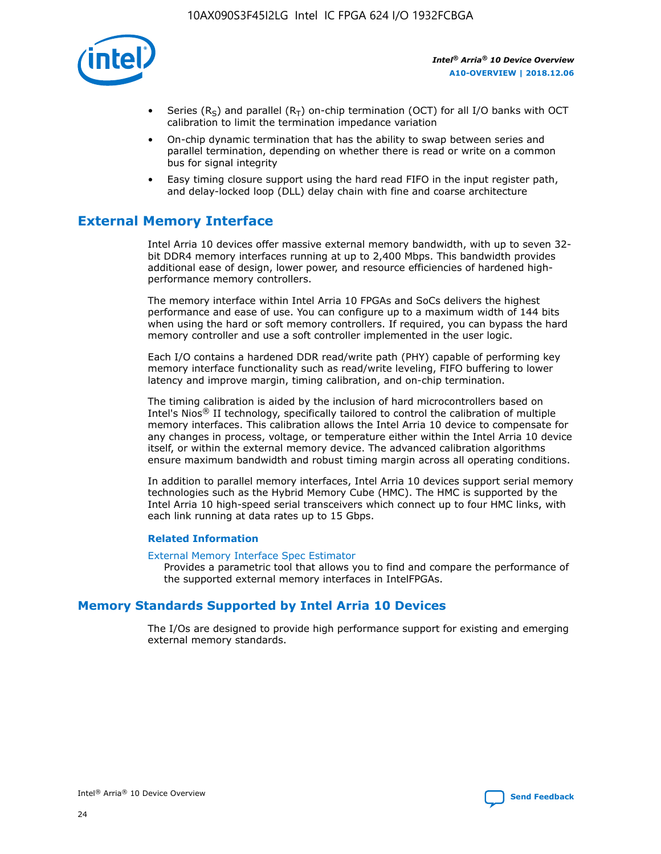

- Series (R<sub>S</sub>) and parallel (R<sub>T</sub>) on-chip termination (OCT) for all I/O banks with OCT calibration to limit the termination impedance variation
- On-chip dynamic termination that has the ability to swap between series and parallel termination, depending on whether there is read or write on a common bus for signal integrity
- Easy timing closure support using the hard read FIFO in the input register path, and delay-locked loop (DLL) delay chain with fine and coarse architecture

# **External Memory Interface**

Intel Arria 10 devices offer massive external memory bandwidth, with up to seven 32 bit DDR4 memory interfaces running at up to 2,400 Mbps. This bandwidth provides additional ease of design, lower power, and resource efficiencies of hardened highperformance memory controllers.

The memory interface within Intel Arria 10 FPGAs and SoCs delivers the highest performance and ease of use. You can configure up to a maximum width of 144 bits when using the hard or soft memory controllers. If required, you can bypass the hard memory controller and use a soft controller implemented in the user logic.

Each I/O contains a hardened DDR read/write path (PHY) capable of performing key memory interface functionality such as read/write leveling, FIFO buffering to lower latency and improve margin, timing calibration, and on-chip termination.

The timing calibration is aided by the inclusion of hard microcontrollers based on Intel's Nios® II technology, specifically tailored to control the calibration of multiple memory interfaces. This calibration allows the Intel Arria 10 device to compensate for any changes in process, voltage, or temperature either within the Intel Arria 10 device itself, or within the external memory device. The advanced calibration algorithms ensure maximum bandwidth and robust timing margin across all operating conditions.

In addition to parallel memory interfaces, Intel Arria 10 devices support serial memory technologies such as the Hybrid Memory Cube (HMC). The HMC is supported by the Intel Arria 10 high-speed serial transceivers which connect up to four HMC links, with each link running at data rates up to 15 Gbps.

### **Related Information**

#### [External Memory Interface Spec Estimator](http://www.altera.com/technology/memory/estimator/mem-emif-index.html)

Provides a parametric tool that allows you to find and compare the performance of the supported external memory interfaces in IntelFPGAs.

# **Memory Standards Supported by Intel Arria 10 Devices**

The I/Os are designed to provide high performance support for existing and emerging external memory standards.

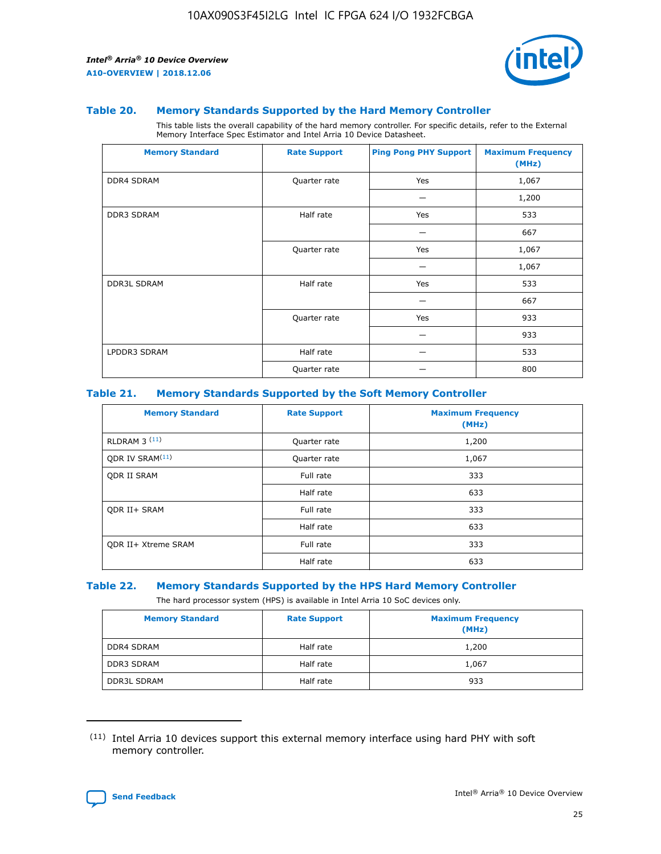

#### **Table 20. Memory Standards Supported by the Hard Memory Controller**

This table lists the overall capability of the hard memory controller. For specific details, refer to the External Memory Interface Spec Estimator and Intel Arria 10 Device Datasheet.

| <b>Memory Standard</b> | <b>Rate Support</b> | <b>Ping Pong PHY Support</b> | <b>Maximum Frequency</b><br>(MHz) |
|------------------------|---------------------|------------------------------|-----------------------------------|
| <b>DDR4 SDRAM</b>      | Quarter rate        | Yes                          | 1,067                             |
|                        |                     |                              | 1,200                             |
| DDR3 SDRAM             | Half rate           | Yes                          | 533                               |
|                        |                     |                              | 667                               |
|                        | Quarter rate        | Yes                          | 1,067                             |
|                        |                     |                              | 1,067                             |
| <b>DDR3L SDRAM</b>     | Half rate           | Yes                          | 533                               |
|                        |                     |                              | 667                               |
|                        | Quarter rate        | Yes                          | 933                               |
|                        |                     |                              | 933                               |
| LPDDR3 SDRAM           | Half rate           |                              | 533                               |
|                        | Quarter rate        |                              | 800                               |

### **Table 21. Memory Standards Supported by the Soft Memory Controller**

| <b>Memory Standard</b>      | <b>Rate Support</b> | <b>Maximum Frequency</b><br>(MHz) |
|-----------------------------|---------------------|-----------------------------------|
| <b>RLDRAM 3 (11)</b>        | Quarter rate        | 1,200                             |
| ODR IV SRAM <sup>(11)</sup> | Quarter rate        | 1,067                             |
| <b>ODR II SRAM</b>          | Full rate           | 333                               |
|                             | Half rate           | 633                               |
| <b>ODR II+ SRAM</b>         | Full rate           | 333                               |
|                             | Half rate           | 633                               |
| <b>ODR II+ Xtreme SRAM</b>  | Full rate           | 333                               |
|                             | Half rate           | 633                               |

#### **Table 22. Memory Standards Supported by the HPS Hard Memory Controller**

The hard processor system (HPS) is available in Intel Arria 10 SoC devices only.

| <b>Memory Standard</b> | <b>Rate Support</b> | <b>Maximum Frequency</b><br>(MHz) |
|------------------------|---------------------|-----------------------------------|
| <b>DDR4 SDRAM</b>      | Half rate           | 1,200                             |
| <b>DDR3 SDRAM</b>      | Half rate           | 1,067                             |
| <b>DDR3L SDRAM</b>     | Half rate           | 933                               |

<sup>(11)</sup> Intel Arria 10 devices support this external memory interface using hard PHY with soft memory controller.

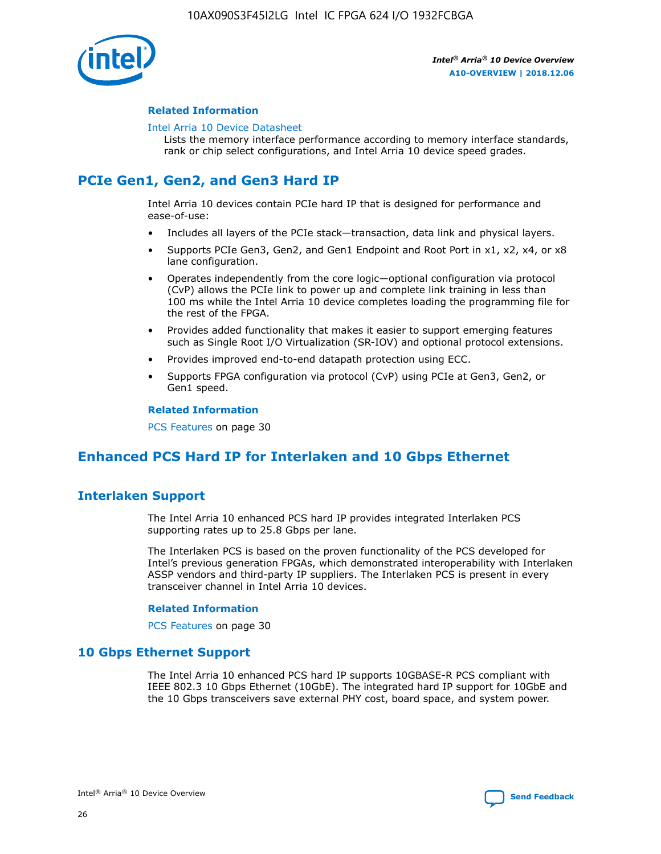

### **Related Information**

#### [Intel Arria 10 Device Datasheet](https://www.intel.com/content/www/us/en/programmable/documentation/mcn1413182292568.html#mcn1413182153340)

Lists the memory interface performance according to memory interface standards, rank or chip select configurations, and Intel Arria 10 device speed grades.

# **PCIe Gen1, Gen2, and Gen3 Hard IP**

Intel Arria 10 devices contain PCIe hard IP that is designed for performance and ease-of-use:

- Includes all layers of the PCIe stack—transaction, data link and physical layers.
- Supports PCIe Gen3, Gen2, and Gen1 Endpoint and Root Port in x1, x2, x4, or x8 lane configuration.
- Operates independently from the core logic—optional configuration via protocol (CvP) allows the PCIe link to power up and complete link training in less than 100 ms while the Intel Arria 10 device completes loading the programming file for the rest of the FPGA.
- Provides added functionality that makes it easier to support emerging features such as Single Root I/O Virtualization (SR-IOV) and optional protocol extensions.
- Provides improved end-to-end datapath protection using ECC.
- Supports FPGA configuration via protocol (CvP) using PCIe at Gen3, Gen2, or Gen1 speed.

#### **Related Information**

PCS Features on page 30

# **Enhanced PCS Hard IP for Interlaken and 10 Gbps Ethernet**

# **Interlaken Support**

The Intel Arria 10 enhanced PCS hard IP provides integrated Interlaken PCS supporting rates up to 25.8 Gbps per lane.

The Interlaken PCS is based on the proven functionality of the PCS developed for Intel's previous generation FPGAs, which demonstrated interoperability with Interlaken ASSP vendors and third-party IP suppliers. The Interlaken PCS is present in every transceiver channel in Intel Arria 10 devices.

### **Related Information**

PCS Features on page 30

# **10 Gbps Ethernet Support**

The Intel Arria 10 enhanced PCS hard IP supports 10GBASE-R PCS compliant with IEEE 802.3 10 Gbps Ethernet (10GbE). The integrated hard IP support for 10GbE and the 10 Gbps transceivers save external PHY cost, board space, and system power.

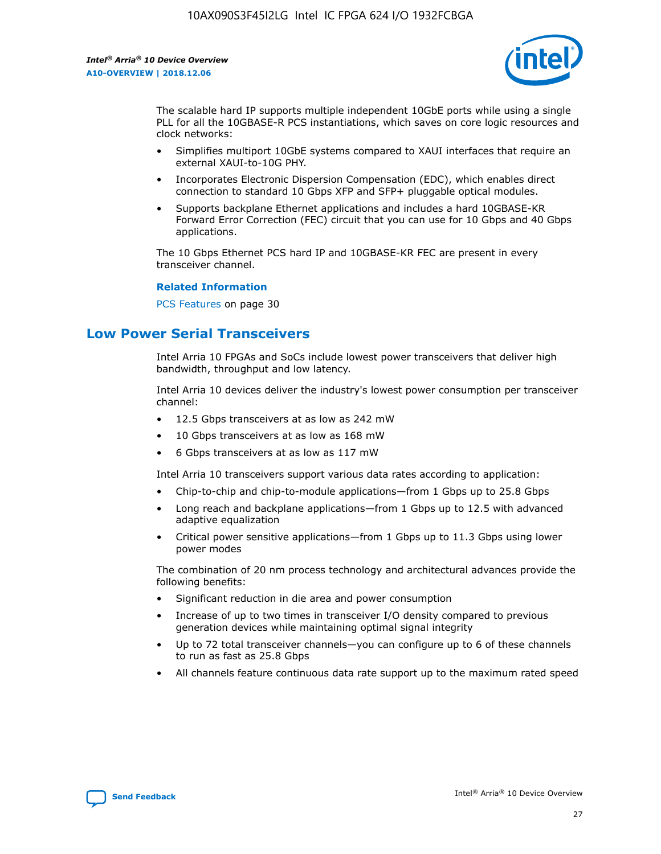

The scalable hard IP supports multiple independent 10GbE ports while using a single PLL for all the 10GBASE-R PCS instantiations, which saves on core logic resources and clock networks:

- Simplifies multiport 10GbE systems compared to XAUI interfaces that require an external XAUI-to-10G PHY.
- Incorporates Electronic Dispersion Compensation (EDC), which enables direct connection to standard 10 Gbps XFP and SFP+ pluggable optical modules.
- Supports backplane Ethernet applications and includes a hard 10GBASE-KR Forward Error Correction (FEC) circuit that you can use for 10 Gbps and 40 Gbps applications.

The 10 Gbps Ethernet PCS hard IP and 10GBASE-KR FEC are present in every transceiver channel.

#### **Related Information**

PCS Features on page 30

# **Low Power Serial Transceivers**

Intel Arria 10 FPGAs and SoCs include lowest power transceivers that deliver high bandwidth, throughput and low latency.

Intel Arria 10 devices deliver the industry's lowest power consumption per transceiver channel:

- 12.5 Gbps transceivers at as low as 242 mW
- 10 Gbps transceivers at as low as 168 mW
- 6 Gbps transceivers at as low as 117 mW

Intel Arria 10 transceivers support various data rates according to application:

- Chip-to-chip and chip-to-module applications—from 1 Gbps up to 25.8 Gbps
- Long reach and backplane applications—from 1 Gbps up to 12.5 with advanced adaptive equalization
- Critical power sensitive applications—from 1 Gbps up to 11.3 Gbps using lower power modes

The combination of 20 nm process technology and architectural advances provide the following benefits:

- Significant reduction in die area and power consumption
- Increase of up to two times in transceiver I/O density compared to previous generation devices while maintaining optimal signal integrity
- Up to 72 total transceiver channels—you can configure up to 6 of these channels to run as fast as 25.8 Gbps
- All channels feature continuous data rate support up to the maximum rated speed

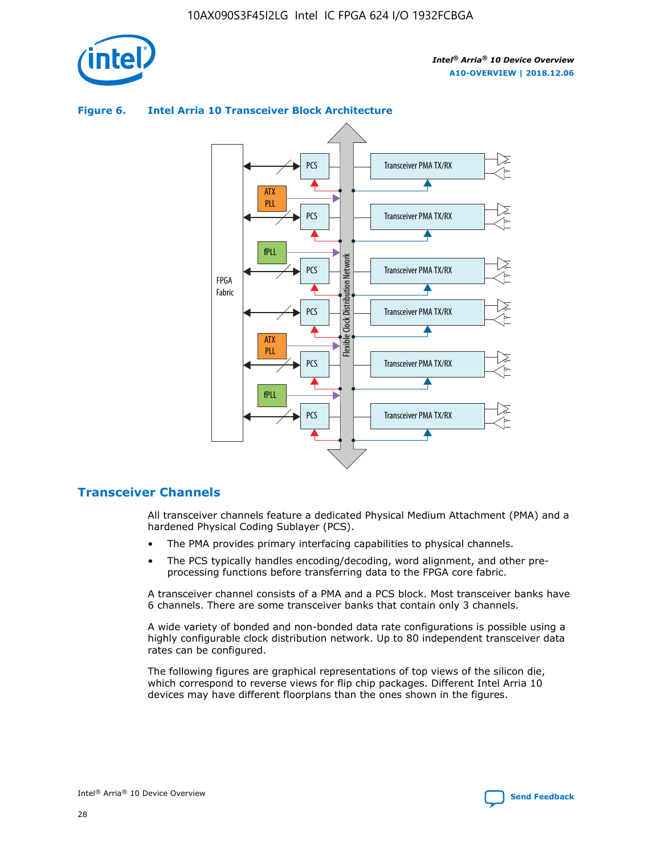



## **Figure 6. Intel Arria 10 Transceiver Block Architecture**

# **Transceiver Channels**

All transceiver channels feature a dedicated Physical Medium Attachment (PMA) and a hardened Physical Coding Sublayer (PCS).

- The PMA provides primary interfacing capabilities to physical channels.
- The PCS typically handles encoding/decoding, word alignment, and other preprocessing functions before transferring data to the FPGA core fabric.

A transceiver channel consists of a PMA and a PCS block. Most transceiver banks have 6 channels. There are some transceiver banks that contain only 3 channels.

A wide variety of bonded and non-bonded data rate configurations is possible using a highly configurable clock distribution network. Up to 80 independent transceiver data rates can be configured.

The following figures are graphical representations of top views of the silicon die, which correspond to reverse views for flip chip packages. Different Intel Arria 10 devices may have different floorplans than the ones shown in the figures.

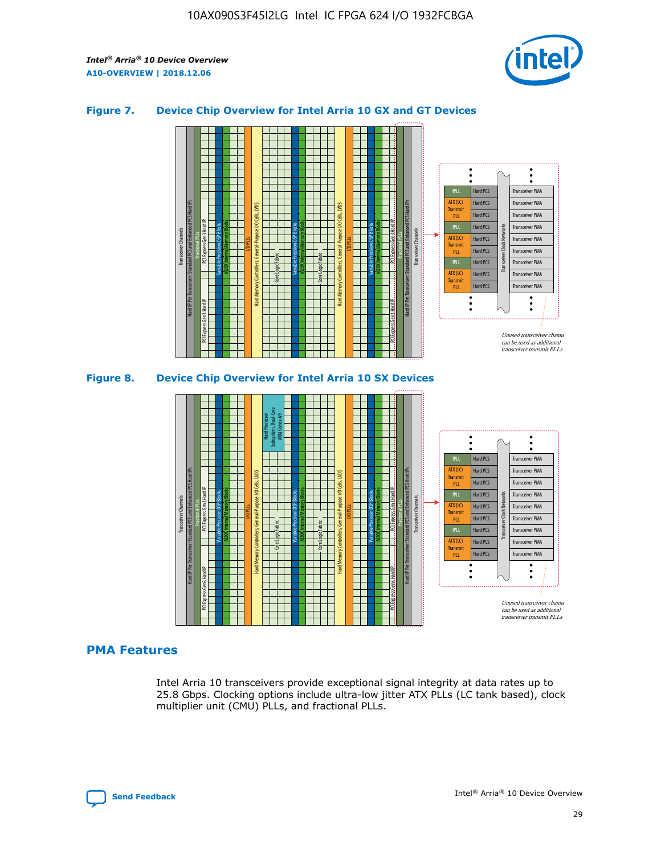

## **Figure 7. Device Chip Overview for Intel Arria 10 GX and GT Devices**



M20K Internal Memory Blocks Core Logic Fabric Transceiver Channels Hard IP Per Transceiver: Standard PCS and Enhanced PCS Hard IPs PCI Express Gen3 Hard IP Fractional PLLs M20K Internal Memory Blocks PCI Express Gen3 Hard IP Variable Precision DSP Blocks I/O PLLs Hard Memory Controllers, General-Purpose I/O Cells, LVDS Hard Processor Subsystem, Dual-Core ARM Cortex A9 M20K Internal Memory Blocks Variable Precision DSP Blocks M20K Internal Memory Blocks Core Logic Fabric I/O PLLs Hard Memory Controllers, General-Purpose I/O Cells, LVDS M20K Internal Memory Blocks Variable Precision DSP Blocks M20K Internal Memory Blocks Transceiver Channels Hard IP Per Transceiver: Standard PCS and Enhanced PCS Hard IPs PCI Express Gen3 Hard IP Fractional PLLs PCI Express Gen3 Hard IP Hard PCS Hard PCS Hard PCS Hard PCS Hard PCS Hard PCS Hard PCS Hard PCS Hard PCS Transceiver PMA Transceiver PMA Transceiver PMA Transceiver PMA Transceiver PMA Transceiver PMA Transceiver PMA Unused transceiver chann can be used as additional transceiver transmit PLLs Transceiver PMA Transceiver PMA Transceiver Clock Networks ATX (LC) **Transmit** PLL fPLL ATX (LC) Transmi PLL fPLL ATX (LC) **Transmit** PLL

# **PMA Features**

Intel Arria 10 transceivers provide exceptional signal integrity at data rates up to 25.8 Gbps. Clocking options include ultra-low jitter ATX PLLs (LC tank based), clock multiplier unit (CMU) PLLs, and fractional PLLs.

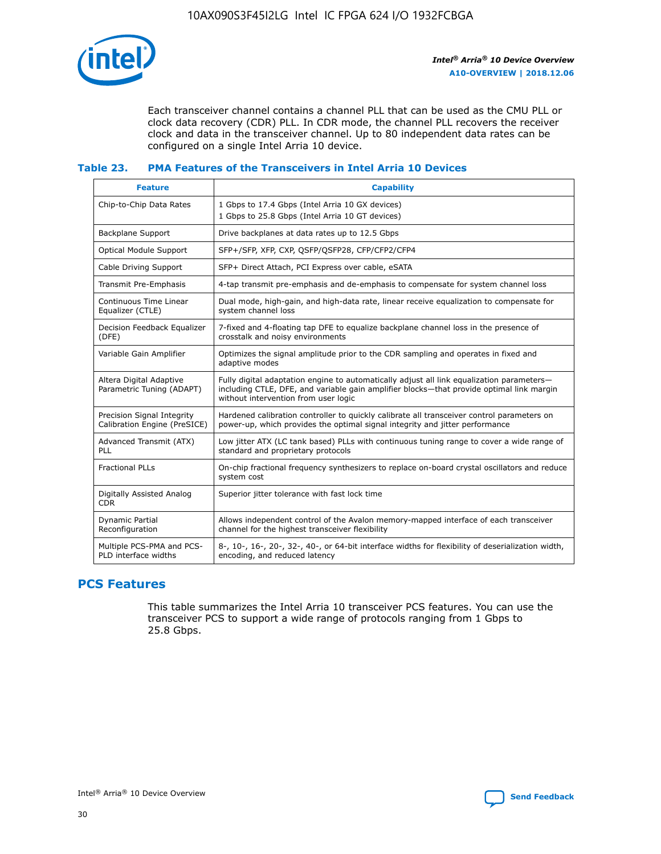

Each transceiver channel contains a channel PLL that can be used as the CMU PLL or clock data recovery (CDR) PLL. In CDR mode, the channel PLL recovers the receiver clock and data in the transceiver channel. Up to 80 independent data rates can be configured on a single Intel Arria 10 device.

# **Table 23. PMA Features of the Transceivers in Intel Arria 10 Devices**

| <b>Feature</b>                                             | <b>Capability</b>                                                                                                                                                                                                             |
|------------------------------------------------------------|-------------------------------------------------------------------------------------------------------------------------------------------------------------------------------------------------------------------------------|
| Chip-to-Chip Data Rates                                    | 1 Gbps to 17.4 Gbps (Intel Arria 10 GX devices)<br>1 Gbps to 25.8 Gbps (Intel Arria 10 GT devices)                                                                                                                            |
| Backplane Support                                          | Drive backplanes at data rates up to 12.5 Gbps                                                                                                                                                                                |
| <b>Optical Module Support</b>                              | SFP+/SFP, XFP, CXP, OSFP/QSFP28, CFP/CFP2/CFP4                                                                                                                                                                                |
| Cable Driving Support                                      | SFP+ Direct Attach, PCI Express over cable, eSATA                                                                                                                                                                             |
| Transmit Pre-Emphasis                                      | 4-tap transmit pre-emphasis and de-emphasis to compensate for system channel loss                                                                                                                                             |
| Continuous Time Linear<br>Equalizer (CTLE)                 | Dual mode, high-gain, and high-data rate, linear receive equalization to compensate for<br>system channel loss                                                                                                                |
| Decision Feedback Equalizer<br>(DFE)                       | 7-fixed and 4-floating tap DFE to equalize backplane channel loss in the presence of<br>crosstalk and noisy environments                                                                                                      |
| Variable Gain Amplifier                                    | Optimizes the signal amplitude prior to the CDR sampling and operates in fixed and<br>adaptive modes                                                                                                                          |
| Altera Digital Adaptive<br>Parametric Tuning (ADAPT)       | Fully digital adaptation engine to automatically adjust all link equalization parameters-<br>including CTLE, DFE, and variable gain amplifier blocks-that provide optimal link margin<br>without intervention from user logic |
| Precision Signal Integrity<br>Calibration Engine (PreSICE) | Hardened calibration controller to quickly calibrate all transceiver control parameters on<br>power-up, which provides the optimal signal integrity and jitter performance                                                    |
| Advanced Transmit (ATX)<br>PLL                             | Low jitter ATX (LC tank based) PLLs with continuous tuning range to cover a wide range of<br>standard and proprietary protocols                                                                                               |
| <b>Fractional PLLs</b>                                     | On-chip fractional frequency synthesizers to replace on-board crystal oscillators and reduce<br>system cost                                                                                                                   |
| Digitally Assisted Analog<br><b>CDR</b>                    | Superior jitter tolerance with fast lock time                                                                                                                                                                                 |
| Dynamic Partial<br>Reconfiguration                         | Allows independent control of the Avalon memory-mapped interface of each transceiver<br>channel for the highest transceiver flexibility                                                                                       |
| Multiple PCS-PMA and PCS-<br>PLD interface widths          | 8-, 10-, 16-, 20-, 32-, 40-, or 64-bit interface widths for flexibility of deserialization width,<br>encoding, and reduced latency                                                                                            |

# **PCS Features**

This table summarizes the Intel Arria 10 transceiver PCS features. You can use the transceiver PCS to support a wide range of protocols ranging from 1 Gbps to 25.8 Gbps.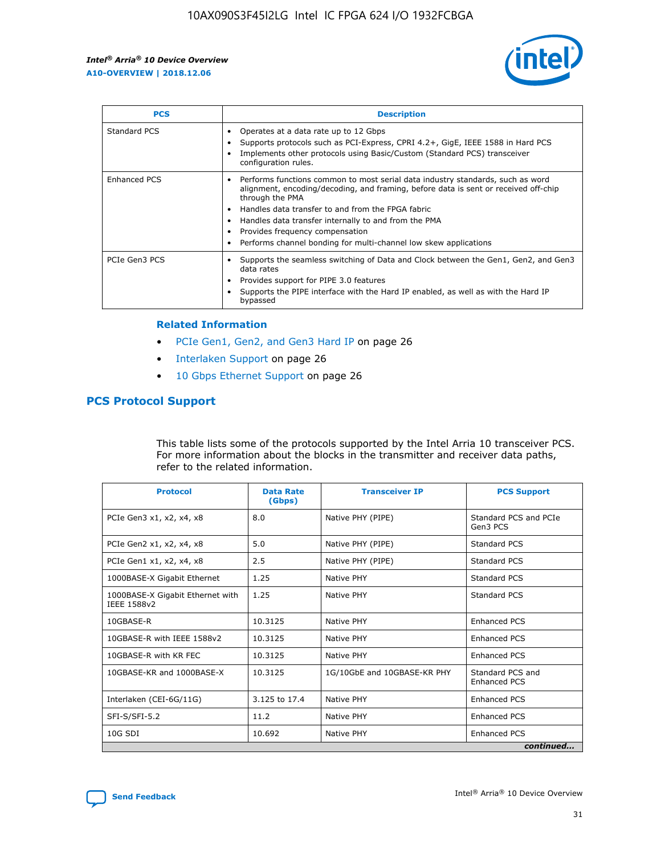

| <b>PCS</b>          | <b>Description</b>                                                                                                                                                                                                                                                                                                                                                                                             |
|---------------------|----------------------------------------------------------------------------------------------------------------------------------------------------------------------------------------------------------------------------------------------------------------------------------------------------------------------------------------------------------------------------------------------------------------|
| Standard PCS        | Operates at a data rate up to 12 Gbps<br>Supports protocols such as PCI-Express, CPRI 4.2+, GigE, IEEE 1588 in Hard PCS<br>Implements other protocols using Basic/Custom (Standard PCS) transceiver<br>configuration rules.                                                                                                                                                                                    |
| <b>Enhanced PCS</b> | Performs functions common to most serial data industry standards, such as word<br>alignment, encoding/decoding, and framing, before data is sent or received off-chip<br>through the PMA<br>• Handles data transfer to and from the FPGA fabric<br>Handles data transfer internally to and from the PMA<br>Provides frequency compensation<br>Performs channel bonding for multi-channel low skew applications |
| PCIe Gen3 PCS       | Supports the seamless switching of Data and Clock between the Gen1, Gen2, and Gen3<br>data rates<br>Provides support for PIPE 3.0 features<br>Supports the PIPE interface with the Hard IP enabled, as well as with the Hard IP<br>bypassed                                                                                                                                                                    |

#### **Related Information**

- PCIe Gen1, Gen2, and Gen3 Hard IP on page 26
- Interlaken Support on page 26
- 10 Gbps Ethernet Support on page 26

# **PCS Protocol Support**

This table lists some of the protocols supported by the Intel Arria 10 transceiver PCS. For more information about the blocks in the transmitter and receiver data paths, refer to the related information.

| <b>Protocol</b>                                 | <b>Data Rate</b><br>(Gbps) | <b>Transceiver IP</b>       | <b>PCS Support</b>                      |
|-------------------------------------------------|----------------------------|-----------------------------|-----------------------------------------|
| PCIe Gen3 x1, x2, x4, x8                        | 8.0                        | Native PHY (PIPE)           | Standard PCS and PCIe<br>Gen3 PCS       |
| PCIe Gen2 x1, x2, x4, x8                        | 5.0                        | Native PHY (PIPE)           | <b>Standard PCS</b>                     |
| PCIe Gen1 x1, x2, x4, x8                        | 2.5                        | Native PHY (PIPE)           | Standard PCS                            |
| 1000BASE-X Gigabit Ethernet                     | 1.25                       | Native PHY                  | <b>Standard PCS</b>                     |
| 1000BASE-X Gigabit Ethernet with<br>IEEE 1588v2 | 1.25                       | Native PHY                  | Standard PCS                            |
| 10GBASE-R                                       | 10.3125                    | Native PHY                  | <b>Enhanced PCS</b>                     |
| 10GBASE-R with IEEE 1588v2                      | 10.3125                    | Native PHY                  | <b>Enhanced PCS</b>                     |
| 10GBASE-R with KR FEC                           | 10.3125                    | Native PHY                  | <b>Enhanced PCS</b>                     |
| 10GBASE-KR and 1000BASE-X                       | 10.3125                    | 1G/10GbE and 10GBASE-KR PHY | Standard PCS and<br><b>Enhanced PCS</b> |
| Interlaken (CEI-6G/11G)                         | 3.125 to 17.4              | Native PHY                  | <b>Enhanced PCS</b>                     |
| SFI-S/SFI-5.2                                   | 11.2                       | Native PHY                  | <b>Enhanced PCS</b>                     |
| $10G$ SDI                                       | 10.692                     | Native PHY                  | <b>Enhanced PCS</b>                     |
|                                                 |                            |                             | continued                               |

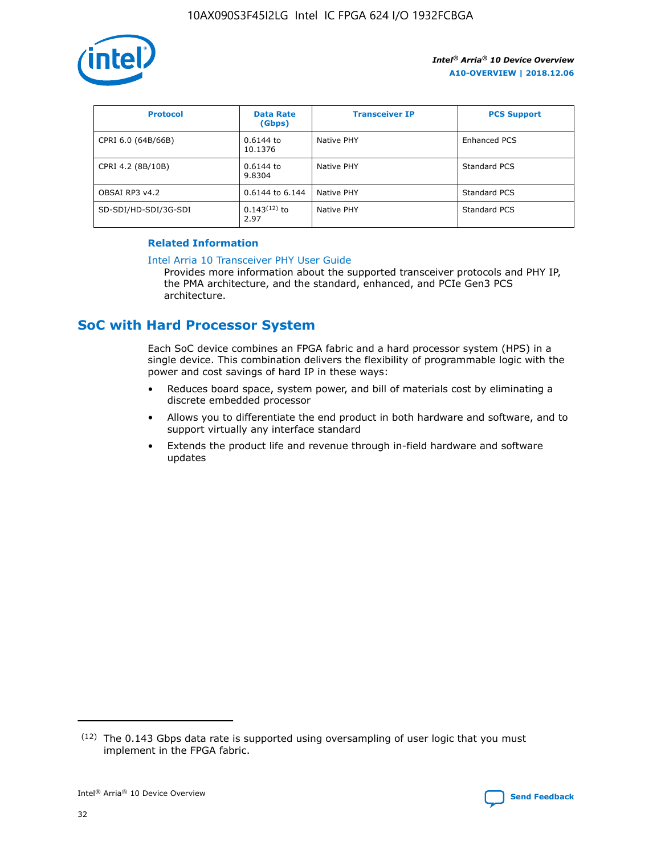

| <b>Protocol</b>      | <b>Data Rate</b><br>(Gbps) | <b>Transceiver IP</b> | <b>PCS Support</b> |
|----------------------|----------------------------|-----------------------|--------------------|
| CPRI 6.0 (64B/66B)   | 0.6144 to<br>10.1376       | Native PHY            | Enhanced PCS       |
| CPRI 4.2 (8B/10B)    | 0.6144 to<br>9.8304        | Native PHY            | Standard PCS       |
| OBSAI RP3 v4.2       | 0.6144 to 6.144            | Native PHY            | Standard PCS       |
| SD-SDI/HD-SDI/3G-SDI | $0.143(12)$ to<br>2.97     | Native PHY            | Standard PCS       |

# **Related Information**

#### [Intel Arria 10 Transceiver PHY User Guide](https://www.intel.com/content/www/us/en/programmable/documentation/nik1398707230472.html#nik1398707091164)

Provides more information about the supported transceiver protocols and PHY IP, the PMA architecture, and the standard, enhanced, and PCIe Gen3 PCS architecture.

# **SoC with Hard Processor System**

Each SoC device combines an FPGA fabric and a hard processor system (HPS) in a single device. This combination delivers the flexibility of programmable logic with the power and cost savings of hard IP in these ways:

- Reduces board space, system power, and bill of materials cost by eliminating a discrete embedded processor
- Allows you to differentiate the end product in both hardware and software, and to support virtually any interface standard
- Extends the product life and revenue through in-field hardware and software updates

 $(12)$  The 0.143 Gbps data rate is supported using oversampling of user logic that you must implement in the FPGA fabric.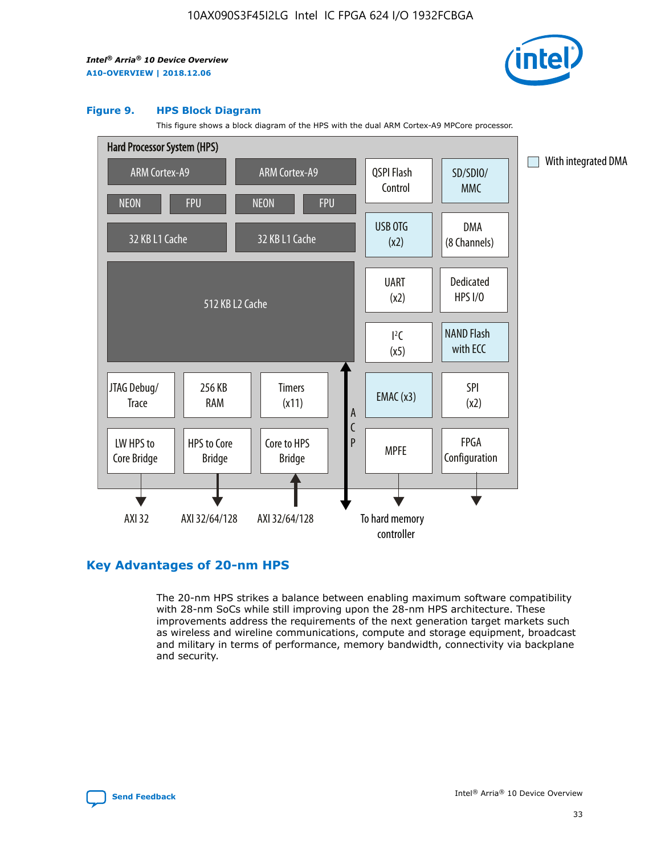

#### **Figure 9. HPS Block Diagram**

This figure shows a block diagram of the HPS with the dual ARM Cortex-A9 MPCore processor.



# **Key Advantages of 20-nm HPS**

The 20-nm HPS strikes a balance between enabling maximum software compatibility with 28-nm SoCs while still improving upon the 28-nm HPS architecture. These improvements address the requirements of the next generation target markets such as wireless and wireline communications, compute and storage equipment, broadcast and military in terms of performance, memory bandwidth, connectivity via backplane and security.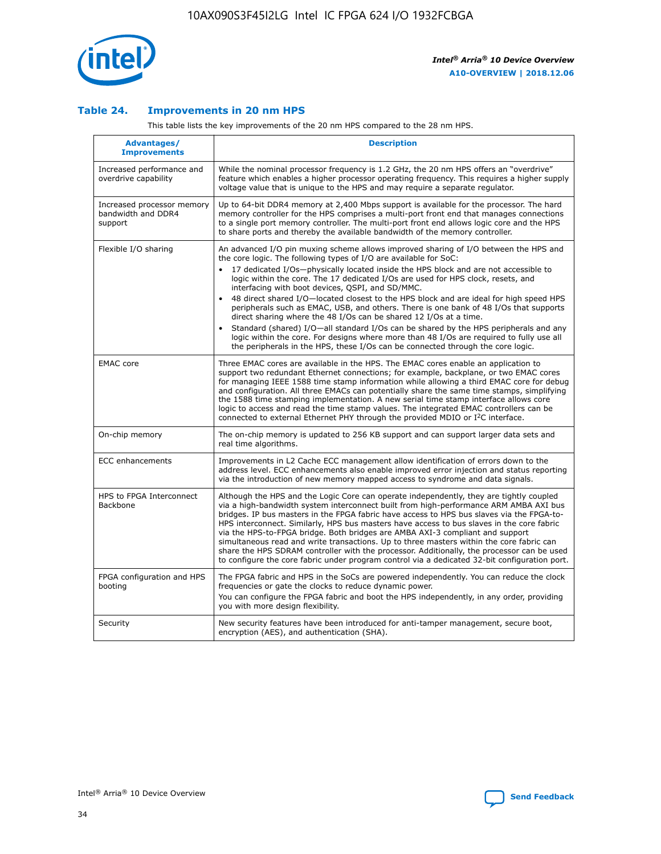

## **Table 24. Improvements in 20 nm HPS**

This table lists the key improvements of the 20 nm HPS compared to the 28 nm HPS.

| Advantages/<br><b>Improvements</b>                          | <b>Description</b>                                                                                                                                                                                                                                                                                                                                                                                                                                                                                                                                                                                                                                                                                                                                                                                                                                                                                                                                |
|-------------------------------------------------------------|---------------------------------------------------------------------------------------------------------------------------------------------------------------------------------------------------------------------------------------------------------------------------------------------------------------------------------------------------------------------------------------------------------------------------------------------------------------------------------------------------------------------------------------------------------------------------------------------------------------------------------------------------------------------------------------------------------------------------------------------------------------------------------------------------------------------------------------------------------------------------------------------------------------------------------------------------|
| Increased performance and<br>overdrive capability           | While the nominal processor frequency is 1.2 GHz, the 20 nm HPS offers an "overdrive"<br>feature which enables a higher processor operating frequency. This requires a higher supply<br>voltage value that is unique to the HPS and may require a separate regulator.                                                                                                                                                                                                                                                                                                                                                                                                                                                                                                                                                                                                                                                                             |
| Increased processor memory<br>bandwidth and DDR4<br>support | Up to 64-bit DDR4 memory at 2,400 Mbps support is available for the processor. The hard<br>memory controller for the HPS comprises a multi-port front end that manages connections<br>to a single port memory controller. The multi-port front end allows logic core and the HPS<br>to share ports and thereby the available bandwidth of the memory controller.                                                                                                                                                                                                                                                                                                                                                                                                                                                                                                                                                                                  |
| Flexible I/O sharing                                        | An advanced I/O pin muxing scheme allows improved sharing of I/O between the HPS and<br>the core logic. The following types of I/O are available for SoC:<br>17 dedicated I/Os-physically located inside the HPS block and are not accessible to<br>$\bullet$<br>logic within the core. The 17 dedicated I/Os are used for HPS clock, resets, and<br>interfacing with boot devices, QSPI, and SD/MMC.<br>48 direct shared I/O-located closest to the HPS block and are ideal for high speed HPS<br>$\bullet$<br>peripherals such as EMAC, USB, and others. There is one bank of 48 I/Os that supports<br>direct sharing where the 48 I/Os can be shared 12 I/Os at a time.<br>Standard (shared) I/O-all standard I/Os can be shared by the HPS peripherals and any<br>logic within the core. For designs where more than 48 I/Os are reguired to fully use all<br>the peripherals in the HPS, these I/Os can be connected through the core logic. |
| <b>EMAC</b> core                                            | Three EMAC cores are available in the HPS. The EMAC cores enable an application to<br>support two redundant Ethernet connections; for example, backplane, or two EMAC cores<br>for managing IEEE 1588 time stamp information while allowing a third EMAC core for debug<br>and configuration. All three EMACs can potentially share the same time stamps, simplifying<br>the 1588 time stamping implementation. A new serial time stamp interface allows core<br>logic to access and read the time stamp values. The integrated EMAC controllers can be<br>connected to external Ethernet PHY through the provided MDIO or I <sup>2</sup> C interface.                                                                                                                                                                                                                                                                                            |
| On-chip memory                                              | The on-chip memory is updated to 256 KB support and can support larger data sets and<br>real time algorithms.                                                                                                                                                                                                                                                                                                                                                                                                                                                                                                                                                                                                                                                                                                                                                                                                                                     |
| <b>ECC</b> enhancements                                     | Improvements in L2 Cache ECC management allow identification of errors down to the<br>address level. ECC enhancements also enable improved error injection and status reporting<br>via the introduction of new memory mapped access to syndrome and data signals.                                                                                                                                                                                                                                                                                                                                                                                                                                                                                                                                                                                                                                                                                 |
| HPS to FPGA Interconnect<br>Backbone                        | Although the HPS and the Logic Core can operate independently, they are tightly coupled<br>via a high-bandwidth system interconnect built from high-performance ARM AMBA AXI bus<br>bridges. IP bus masters in the FPGA fabric have access to HPS bus slaves via the FPGA-to-<br>HPS interconnect. Similarly, HPS bus masters have access to bus slaves in the core fabric<br>via the HPS-to-FPGA bridge. Both bridges are AMBA AXI-3 compliant and support<br>simultaneous read and write transactions. Up to three masters within the core fabric can<br>share the HPS SDRAM controller with the processor. Additionally, the processor can be used<br>to configure the core fabric under program control via a dedicated 32-bit configuration port.                                                                                                                                                                                            |
| FPGA configuration and HPS<br>booting                       | The FPGA fabric and HPS in the SoCs are powered independently. You can reduce the clock<br>frequencies or gate the clocks to reduce dynamic power.<br>You can configure the FPGA fabric and boot the HPS independently, in any order, providing<br>you with more design flexibility.                                                                                                                                                                                                                                                                                                                                                                                                                                                                                                                                                                                                                                                              |
| Security                                                    | New security features have been introduced for anti-tamper management, secure boot,<br>encryption (AES), and authentication (SHA).                                                                                                                                                                                                                                                                                                                                                                                                                                                                                                                                                                                                                                                                                                                                                                                                                |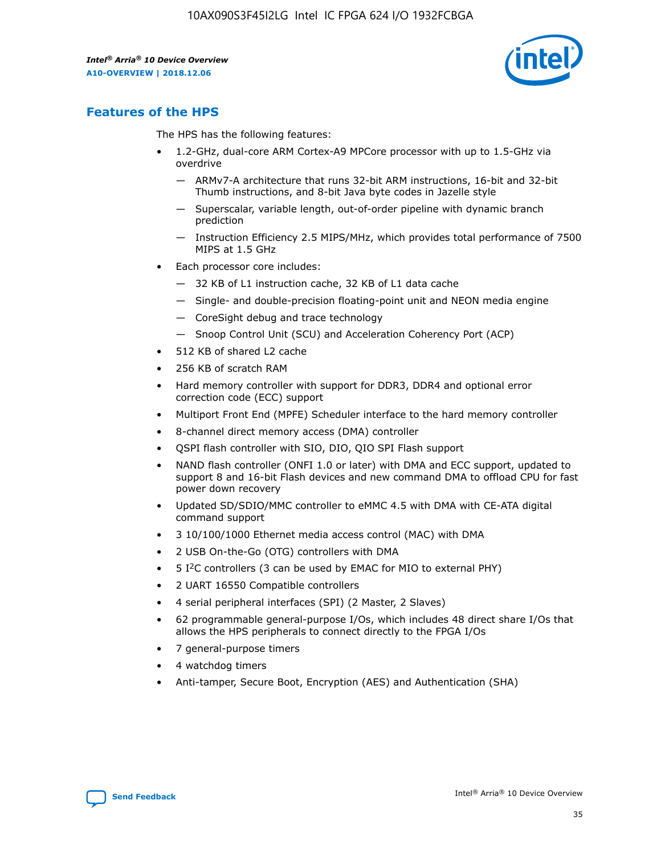

# **Features of the HPS**

The HPS has the following features:

- 1.2-GHz, dual-core ARM Cortex-A9 MPCore processor with up to 1.5-GHz via overdrive
	- ARMv7-A architecture that runs 32-bit ARM instructions, 16-bit and 32-bit Thumb instructions, and 8-bit Java byte codes in Jazelle style
	- Superscalar, variable length, out-of-order pipeline with dynamic branch prediction
	- Instruction Efficiency 2.5 MIPS/MHz, which provides total performance of 7500 MIPS at 1.5 GHz
- Each processor core includes:
	- 32 KB of L1 instruction cache, 32 KB of L1 data cache
	- Single- and double-precision floating-point unit and NEON media engine
	- CoreSight debug and trace technology
	- Snoop Control Unit (SCU) and Acceleration Coherency Port (ACP)
- 512 KB of shared L2 cache
- 256 KB of scratch RAM
- Hard memory controller with support for DDR3, DDR4 and optional error correction code (ECC) support
- Multiport Front End (MPFE) Scheduler interface to the hard memory controller
- 8-channel direct memory access (DMA) controller
- QSPI flash controller with SIO, DIO, QIO SPI Flash support
- NAND flash controller (ONFI 1.0 or later) with DMA and ECC support, updated to support 8 and 16-bit Flash devices and new command DMA to offload CPU for fast power down recovery
- Updated SD/SDIO/MMC controller to eMMC 4.5 with DMA with CE-ATA digital command support
- 3 10/100/1000 Ethernet media access control (MAC) with DMA
- 2 USB On-the-Go (OTG) controllers with DMA
- $\bullet$  5 I<sup>2</sup>C controllers (3 can be used by EMAC for MIO to external PHY)
- 2 UART 16550 Compatible controllers
- 4 serial peripheral interfaces (SPI) (2 Master, 2 Slaves)
- 62 programmable general-purpose I/Os, which includes 48 direct share I/Os that allows the HPS peripherals to connect directly to the FPGA I/Os
- 7 general-purpose timers
- 4 watchdog timers
- Anti-tamper, Secure Boot, Encryption (AES) and Authentication (SHA)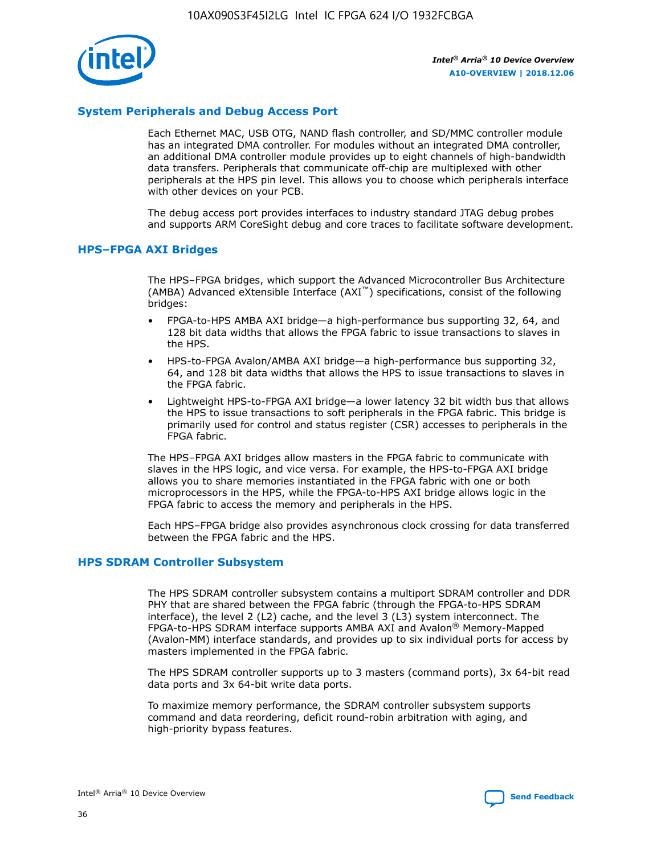

# **System Peripherals and Debug Access Port**

Each Ethernet MAC, USB OTG, NAND flash controller, and SD/MMC controller module has an integrated DMA controller. For modules without an integrated DMA controller, an additional DMA controller module provides up to eight channels of high-bandwidth data transfers. Peripherals that communicate off-chip are multiplexed with other peripherals at the HPS pin level. This allows you to choose which peripherals interface with other devices on your PCB.

The debug access port provides interfaces to industry standard JTAG debug probes and supports ARM CoreSight debug and core traces to facilitate software development.

## **HPS–FPGA AXI Bridges**

The HPS–FPGA bridges, which support the Advanced Microcontroller Bus Architecture (AMBA) Advanced eXtensible Interface (AXI™) specifications, consist of the following bridges:

- FPGA-to-HPS AMBA AXI bridge—a high-performance bus supporting 32, 64, and 128 bit data widths that allows the FPGA fabric to issue transactions to slaves in the HPS.
- HPS-to-FPGA Avalon/AMBA AXI bridge—a high-performance bus supporting 32, 64, and 128 bit data widths that allows the HPS to issue transactions to slaves in the FPGA fabric.
- Lightweight HPS-to-FPGA AXI bridge—a lower latency 32 bit width bus that allows the HPS to issue transactions to soft peripherals in the FPGA fabric. This bridge is primarily used for control and status register (CSR) accesses to peripherals in the FPGA fabric.

The HPS–FPGA AXI bridges allow masters in the FPGA fabric to communicate with slaves in the HPS logic, and vice versa. For example, the HPS-to-FPGA AXI bridge allows you to share memories instantiated in the FPGA fabric with one or both microprocessors in the HPS, while the FPGA-to-HPS AXI bridge allows logic in the FPGA fabric to access the memory and peripherals in the HPS.

Each HPS–FPGA bridge also provides asynchronous clock crossing for data transferred between the FPGA fabric and the HPS.

### **HPS SDRAM Controller Subsystem**

The HPS SDRAM controller subsystem contains a multiport SDRAM controller and DDR PHY that are shared between the FPGA fabric (through the FPGA-to-HPS SDRAM interface), the level 2 (L2) cache, and the level 3 (L3) system interconnect. The FPGA-to-HPS SDRAM interface supports AMBA AXI and Avalon® Memory-Mapped (Avalon-MM) interface standards, and provides up to six individual ports for access by masters implemented in the FPGA fabric.

The HPS SDRAM controller supports up to 3 masters (command ports), 3x 64-bit read data ports and 3x 64-bit write data ports.

To maximize memory performance, the SDRAM controller subsystem supports command and data reordering, deficit round-robin arbitration with aging, and high-priority bypass features.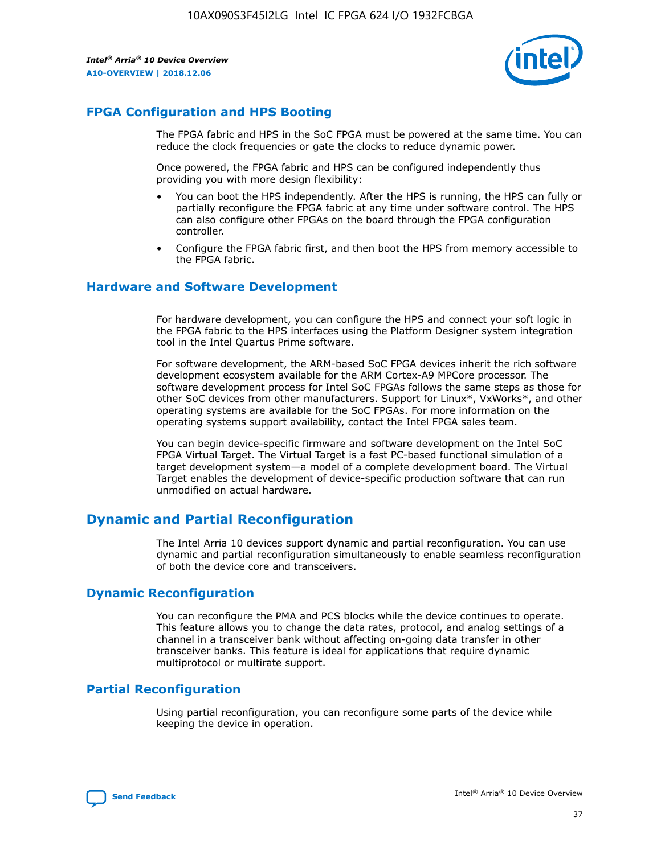

# **FPGA Configuration and HPS Booting**

The FPGA fabric and HPS in the SoC FPGA must be powered at the same time. You can reduce the clock frequencies or gate the clocks to reduce dynamic power.

Once powered, the FPGA fabric and HPS can be configured independently thus providing you with more design flexibility:

- You can boot the HPS independently. After the HPS is running, the HPS can fully or partially reconfigure the FPGA fabric at any time under software control. The HPS can also configure other FPGAs on the board through the FPGA configuration controller.
- Configure the FPGA fabric first, and then boot the HPS from memory accessible to the FPGA fabric.

## **Hardware and Software Development**

For hardware development, you can configure the HPS and connect your soft logic in the FPGA fabric to the HPS interfaces using the Platform Designer system integration tool in the Intel Quartus Prime software.

For software development, the ARM-based SoC FPGA devices inherit the rich software development ecosystem available for the ARM Cortex-A9 MPCore processor. The software development process for Intel SoC FPGAs follows the same steps as those for other SoC devices from other manufacturers. Support for Linux\*, VxWorks\*, and other operating systems are available for the SoC FPGAs. For more information on the operating systems support availability, contact the Intel FPGA sales team.

You can begin device-specific firmware and software development on the Intel SoC FPGA Virtual Target. The Virtual Target is a fast PC-based functional simulation of a target development system—a model of a complete development board. The Virtual Target enables the development of device-specific production software that can run unmodified on actual hardware.

# **Dynamic and Partial Reconfiguration**

The Intel Arria 10 devices support dynamic and partial reconfiguration. You can use dynamic and partial reconfiguration simultaneously to enable seamless reconfiguration of both the device core and transceivers.

# **Dynamic Reconfiguration**

You can reconfigure the PMA and PCS blocks while the device continues to operate. This feature allows you to change the data rates, protocol, and analog settings of a channel in a transceiver bank without affecting on-going data transfer in other transceiver banks. This feature is ideal for applications that require dynamic multiprotocol or multirate support.

# **Partial Reconfiguration**

Using partial reconfiguration, you can reconfigure some parts of the device while keeping the device in operation.

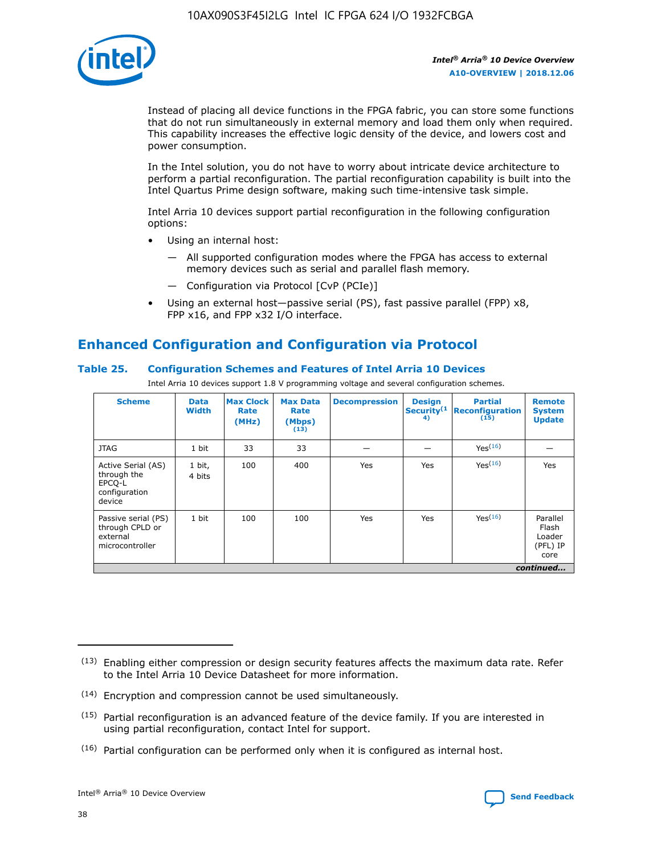

Instead of placing all device functions in the FPGA fabric, you can store some functions that do not run simultaneously in external memory and load them only when required. This capability increases the effective logic density of the device, and lowers cost and power consumption.

In the Intel solution, you do not have to worry about intricate device architecture to perform a partial reconfiguration. The partial reconfiguration capability is built into the Intel Quartus Prime design software, making such time-intensive task simple.

Intel Arria 10 devices support partial reconfiguration in the following configuration options:

- Using an internal host:
	- All supported configuration modes where the FPGA has access to external memory devices such as serial and parallel flash memory.
	- Configuration via Protocol [CvP (PCIe)]
- Using an external host—passive serial (PS), fast passive parallel (FPP) x8, FPP x16, and FPP x32 I/O interface.

# **Enhanced Configuration and Configuration via Protocol**

# **Table 25. Configuration Schemes and Features of Intel Arria 10 Devices**

Intel Arria 10 devices support 1.8 V programming voltage and several configuration schemes.

| <b>Scheme</b>                                                          | <b>Data</b><br><b>Width</b> | <b>Max Clock</b><br>Rate<br>(MHz) | <b>Max Data</b><br>Rate<br>(Mbps)<br>(13) | <b>Decompression</b> | <b>Design</b><br>Security <sup>(1</sup><br>4) | <b>Partial</b><br>Reconfiguration<br>(15) | <b>Remote</b><br><b>System</b><br><b>Update</b> |
|------------------------------------------------------------------------|-----------------------------|-----------------------------------|-------------------------------------------|----------------------|-----------------------------------------------|-------------------------------------------|-------------------------------------------------|
| <b>JTAG</b>                                                            | 1 bit                       | 33                                | 33                                        |                      |                                               | Yes(16)                                   |                                                 |
| Active Serial (AS)<br>through the<br>EPCO-L<br>configuration<br>device | 1 bit,<br>4 bits            | 100                               | 400                                       | Yes                  | Yes                                           | Yes(16)                                   | Yes                                             |
| Passive serial (PS)<br>through CPLD or<br>external<br>microcontroller  | 1 bit                       | 100                               | 100                                       | Yes                  | Yes                                           | Yes <sup>(16)</sup>                       | Parallel<br>Flash<br>Loader<br>(PFL) IP<br>core |
|                                                                        |                             |                                   |                                           |                      |                                               |                                           | continued                                       |

<sup>(13)</sup> Enabling either compression or design security features affects the maximum data rate. Refer to the Intel Arria 10 Device Datasheet for more information.

<sup>(14)</sup> Encryption and compression cannot be used simultaneously.

 $(15)$  Partial reconfiguration is an advanced feature of the device family. If you are interested in using partial reconfiguration, contact Intel for support.

 $(16)$  Partial configuration can be performed only when it is configured as internal host.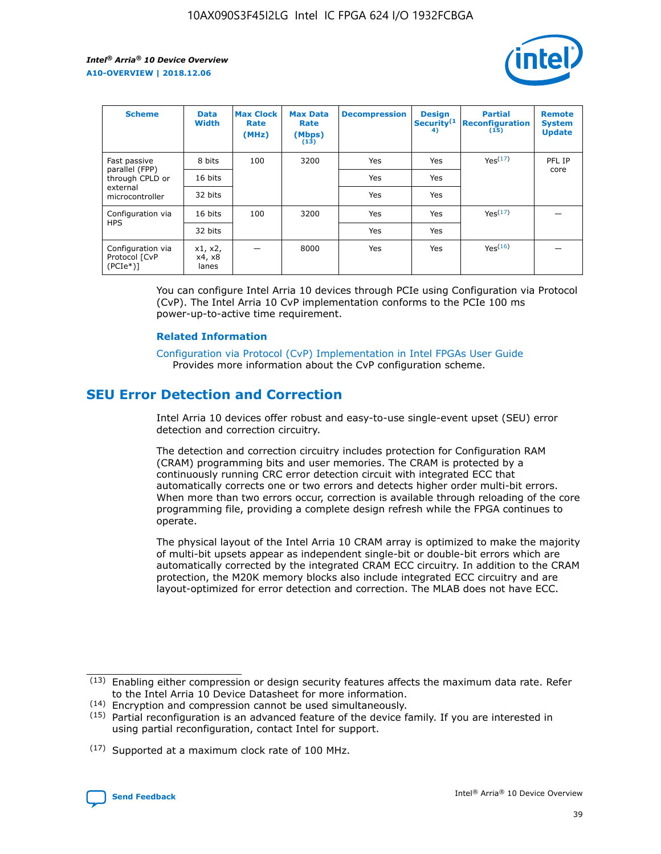

| <b>Scheme</b>                                    | <b>Data</b><br><b>Width</b> | <b>Max Clock</b><br>Rate<br>(MHz) | <b>Max Data</b><br>Rate<br>(Mbps)<br>(13) | <b>Decompression</b> | <b>Design</b><br>Security <sup>(1</sup><br>4) | <b>Partial</b><br><b>Reconfiguration</b><br>(15) | <b>Remote</b><br><b>System</b><br><b>Update</b> |
|--------------------------------------------------|-----------------------------|-----------------------------------|-------------------------------------------|----------------------|-----------------------------------------------|--------------------------------------------------|-------------------------------------------------|
| Fast passive                                     | 8 bits                      | 100                               | 3200                                      | <b>Yes</b>           | Yes                                           | Yes(17)                                          | PFL IP                                          |
| parallel (FPP)<br>through CPLD or                | 16 bits                     |                                   |                                           | Yes                  | Yes                                           |                                                  | core                                            |
| external<br>microcontroller                      | 32 bits                     |                                   |                                           | Yes                  | Yes                                           |                                                  |                                                 |
| Configuration via                                | 16 bits                     | 100                               | 3200                                      | Yes                  | Yes                                           | Yes <sup>(17)</sup>                              |                                                 |
| <b>HPS</b>                                       | 32 bits                     |                                   |                                           | Yes                  | Yes                                           |                                                  |                                                 |
| Configuration via<br>Protocol [CvP<br>$(PCIe^*)$ | x1, x2,<br>x4, x8<br>lanes  |                                   | 8000                                      | Yes                  | Yes                                           | Yes <sup>(16)</sup>                              |                                                 |

You can configure Intel Arria 10 devices through PCIe using Configuration via Protocol (CvP). The Intel Arria 10 CvP implementation conforms to the PCIe 100 ms power-up-to-active time requirement.

#### **Related Information**

[Configuration via Protocol \(CvP\) Implementation in Intel FPGAs User Guide](https://www.intel.com/content/www/us/en/programmable/documentation/dsu1441819344145.html#dsu1442269728522) Provides more information about the CvP configuration scheme.

# **SEU Error Detection and Correction**

Intel Arria 10 devices offer robust and easy-to-use single-event upset (SEU) error detection and correction circuitry.

The detection and correction circuitry includes protection for Configuration RAM (CRAM) programming bits and user memories. The CRAM is protected by a continuously running CRC error detection circuit with integrated ECC that automatically corrects one or two errors and detects higher order multi-bit errors. When more than two errors occur, correction is available through reloading of the core programming file, providing a complete design refresh while the FPGA continues to operate.

The physical layout of the Intel Arria 10 CRAM array is optimized to make the majority of multi-bit upsets appear as independent single-bit or double-bit errors which are automatically corrected by the integrated CRAM ECC circuitry. In addition to the CRAM protection, the M20K memory blocks also include integrated ECC circuitry and are layout-optimized for error detection and correction. The MLAB does not have ECC.

(14) Encryption and compression cannot be used simultaneously.

<sup>(17)</sup> Supported at a maximum clock rate of 100 MHz.



 $(13)$  Enabling either compression or design security features affects the maximum data rate. Refer to the Intel Arria 10 Device Datasheet for more information.

 $(15)$  Partial reconfiguration is an advanced feature of the device family. If you are interested in using partial reconfiguration, contact Intel for support.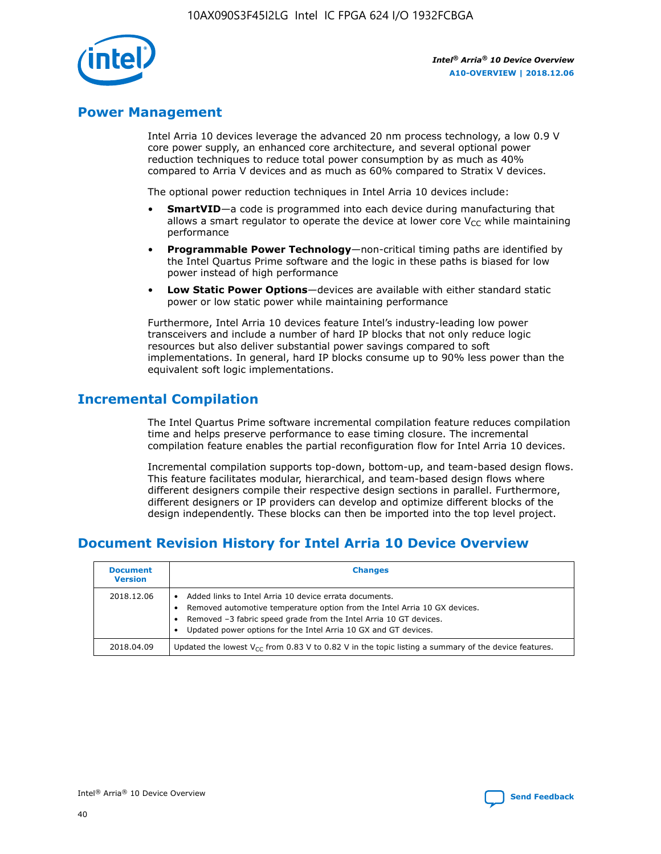

# **Power Management**

Intel Arria 10 devices leverage the advanced 20 nm process technology, a low 0.9 V core power supply, an enhanced core architecture, and several optional power reduction techniques to reduce total power consumption by as much as 40% compared to Arria V devices and as much as 60% compared to Stratix V devices.

The optional power reduction techniques in Intel Arria 10 devices include:

- **SmartVID**—a code is programmed into each device during manufacturing that allows a smart regulator to operate the device at lower core  $V_{CC}$  while maintaining performance
- **Programmable Power Technology**—non-critical timing paths are identified by the Intel Quartus Prime software and the logic in these paths is biased for low power instead of high performance
- **Low Static Power Options**—devices are available with either standard static power or low static power while maintaining performance

Furthermore, Intel Arria 10 devices feature Intel's industry-leading low power transceivers and include a number of hard IP blocks that not only reduce logic resources but also deliver substantial power savings compared to soft implementations. In general, hard IP blocks consume up to 90% less power than the equivalent soft logic implementations.

# **Incremental Compilation**

The Intel Quartus Prime software incremental compilation feature reduces compilation time and helps preserve performance to ease timing closure. The incremental compilation feature enables the partial reconfiguration flow for Intel Arria 10 devices.

Incremental compilation supports top-down, bottom-up, and team-based design flows. This feature facilitates modular, hierarchical, and team-based design flows where different designers compile their respective design sections in parallel. Furthermore, different designers or IP providers can develop and optimize different blocks of the design independently. These blocks can then be imported into the top level project.

# **Document Revision History for Intel Arria 10 Device Overview**

| <b>Document</b><br><b>Version</b> | <b>Changes</b>                                                                                                                                                                                                                                                              |
|-----------------------------------|-----------------------------------------------------------------------------------------------------------------------------------------------------------------------------------------------------------------------------------------------------------------------------|
| 2018.12.06                        | Added links to Intel Arria 10 device errata documents.<br>Removed automotive temperature option from the Intel Arria 10 GX devices.<br>Removed -3 fabric speed grade from the Intel Arria 10 GT devices.<br>Updated power options for the Intel Arria 10 GX and GT devices. |
| 2018.04.09                        | Updated the lowest $V_{CC}$ from 0.83 V to 0.82 V in the topic listing a summary of the device features.                                                                                                                                                                    |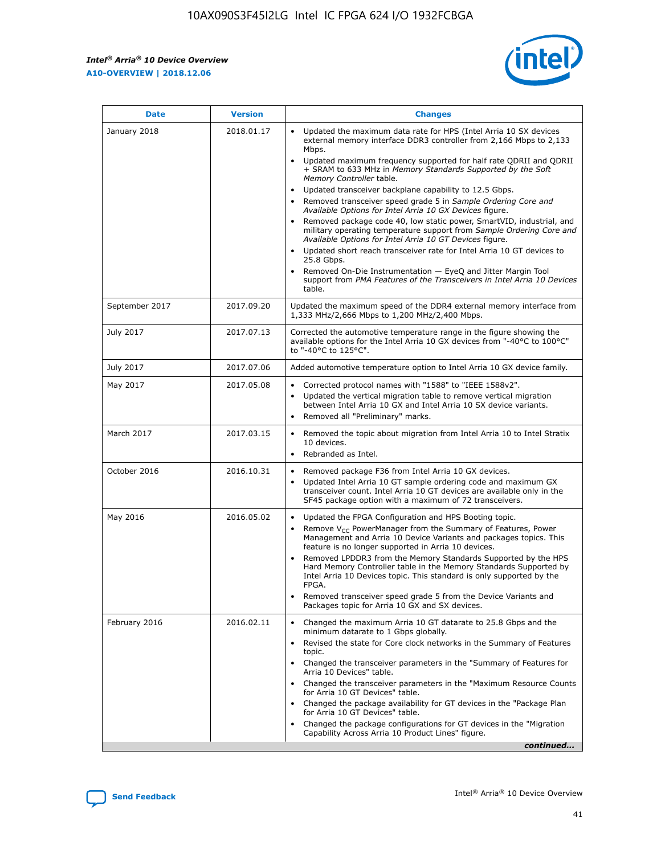$\mathsf{r}$ 



| <b>Date</b>    | <b>Version</b> | <b>Changes</b>                                                                                                                                                                                                                                                                                                                                                                                                                                                                                                                                                                                                                                                                                                                                                                                                                                                                                                                                                                                      |
|----------------|----------------|-----------------------------------------------------------------------------------------------------------------------------------------------------------------------------------------------------------------------------------------------------------------------------------------------------------------------------------------------------------------------------------------------------------------------------------------------------------------------------------------------------------------------------------------------------------------------------------------------------------------------------------------------------------------------------------------------------------------------------------------------------------------------------------------------------------------------------------------------------------------------------------------------------------------------------------------------------------------------------------------------------|
| January 2018   | 2018.01.17     | Updated the maximum data rate for HPS (Intel Arria 10 SX devices<br>external memory interface DDR3 controller from 2,166 Mbps to 2,133<br>Mbps.<br>Updated maximum frequency supported for half rate QDRII and QDRII<br>$\bullet$<br>+ SRAM to 633 MHz in Memory Standards Supported by the Soft<br>Memory Controller table.<br>Updated transceiver backplane capability to 12.5 Gbps.<br>$\bullet$<br>Removed transceiver speed grade 5 in Sample Ordering Core and<br>Available Options for Intel Arria 10 GX Devices figure.<br>Removed package code 40, low static power, SmartVID, industrial, and<br>military operating temperature support from Sample Ordering Core and<br>Available Options for Intel Arria 10 GT Devices figure.<br>Updated short reach transceiver rate for Intel Arria 10 GT devices to<br>$\bullet$<br>25.8 Gbps.<br>Removed On-Die Instrumentation - EyeQ and Jitter Margin Tool<br>support from PMA Features of the Transceivers in Intel Arria 10 Devices<br>table. |
| September 2017 | 2017.09.20     | Updated the maximum speed of the DDR4 external memory interface from<br>1,333 MHz/2,666 Mbps to 1,200 MHz/2,400 Mbps.                                                                                                                                                                                                                                                                                                                                                                                                                                                                                                                                                                                                                                                                                                                                                                                                                                                                               |
| July 2017      | 2017.07.13     | Corrected the automotive temperature range in the figure showing the<br>available options for the Intel Arria 10 GX devices from "-40°C to 100°C"<br>to "-40°C to 125°C".                                                                                                                                                                                                                                                                                                                                                                                                                                                                                                                                                                                                                                                                                                                                                                                                                           |
| July 2017      | 2017.07.06     | Added automotive temperature option to Intel Arria 10 GX device family.                                                                                                                                                                                                                                                                                                                                                                                                                                                                                                                                                                                                                                                                                                                                                                                                                                                                                                                             |
| May 2017       | 2017.05.08     | Corrected protocol names with "1588" to "IEEE 1588v2".<br>$\bullet$<br>Updated the vertical migration table to remove vertical migration<br>$\bullet$<br>between Intel Arria 10 GX and Intel Arria 10 SX device variants.<br>Removed all "Preliminary" marks.                                                                                                                                                                                                                                                                                                                                                                                                                                                                                                                                                                                                                                                                                                                                       |
| March 2017     | 2017.03.15     | Removed the topic about migration from Intel Arria 10 to Intel Stratix<br>10 devices.<br>Rebranded as Intel.<br>$\bullet$                                                                                                                                                                                                                                                                                                                                                                                                                                                                                                                                                                                                                                                                                                                                                                                                                                                                           |
| October 2016   | 2016.10.31     | Removed package F36 from Intel Arria 10 GX devices.<br>$\bullet$<br>Updated Intel Arria 10 GT sample ordering code and maximum GX<br>$\bullet$<br>transceiver count. Intel Arria 10 GT devices are available only in the<br>SF45 package option with a maximum of 72 transceivers.                                                                                                                                                                                                                                                                                                                                                                                                                                                                                                                                                                                                                                                                                                                  |
| May 2016       | 2016.05.02     | Updated the FPGA Configuration and HPS Booting topic.<br>Remove $V_{CC}$ PowerManager from the Summary of Features, Power<br>Management and Arria 10 Device Variants and packages topics. This<br>feature is no longer supported in Arria 10 devices.<br>Removed LPDDR3 from the Memory Standards Supported by the HPS<br>Hard Memory Controller table in the Memory Standards Supported by<br>Intel Arria 10 Devices topic. This standard is only supported by the<br>FPGA.<br>Removed transceiver speed grade 5 from the Device Variants and<br>Packages topic for Arria 10 GX and SX devices.                                                                                                                                                                                                                                                                                                                                                                                                    |
| February 2016  | 2016.02.11     | Changed the maximum Arria 10 GT datarate to 25.8 Gbps and the<br>minimum datarate to 1 Gbps globally.<br>Revised the state for Core clock networks in the Summary of Features<br>$\bullet$<br>topic.<br>• Changed the transceiver parameters in the "Summary of Features for<br>Arria 10 Devices" table.<br>Changed the transceiver parameters in the "Maximum Resource Counts"<br>for Arria 10 GT Devices" table.<br>• Changed the package availability for GT devices in the "Package Plan<br>for Arria 10 GT Devices" table.<br>Changed the package configurations for GT devices in the "Migration"<br>Capability Across Arria 10 Product Lines" figure.<br>continued                                                                                                                                                                                                                                                                                                                           |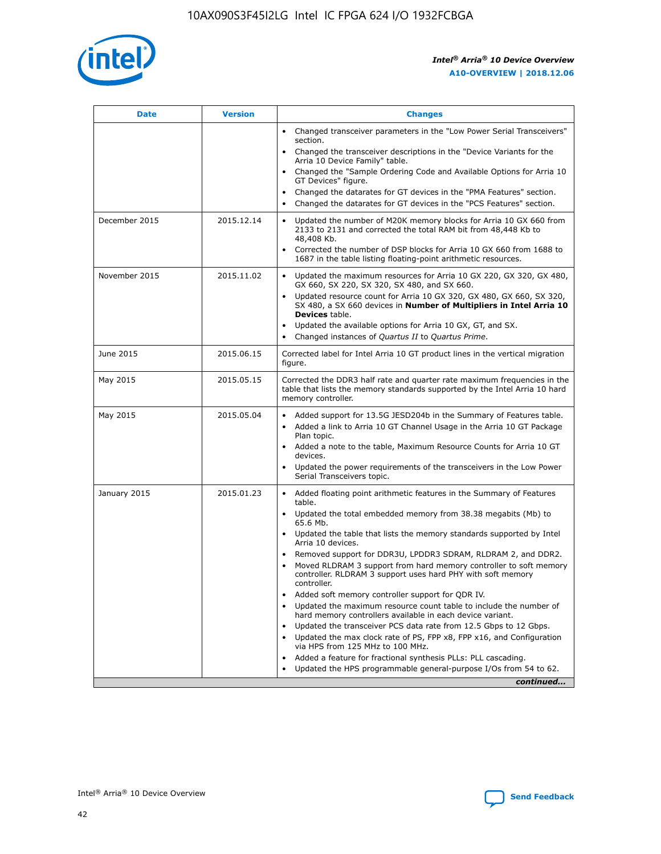

| <b>Date</b>   | <b>Version</b> | <b>Changes</b>                                                                                                                                                               |
|---------------|----------------|------------------------------------------------------------------------------------------------------------------------------------------------------------------------------|
|               |                | • Changed transceiver parameters in the "Low Power Serial Transceivers"<br>section.                                                                                          |
|               |                | • Changed the transceiver descriptions in the "Device Variants for the<br>Arria 10 Device Family" table.                                                                     |
|               |                | Changed the "Sample Ordering Code and Available Options for Arria 10<br>$\bullet$<br>GT Devices" figure.                                                                     |
|               |                | Changed the datarates for GT devices in the "PMA Features" section.                                                                                                          |
|               |                | Changed the datarates for GT devices in the "PCS Features" section.<br>$\bullet$                                                                                             |
| December 2015 | 2015.12.14     | Updated the number of M20K memory blocks for Arria 10 GX 660 from<br>2133 to 2131 and corrected the total RAM bit from 48,448 Kb to<br>48,408 Kb.                            |
|               |                | Corrected the number of DSP blocks for Arria 10 GX 660 from 1688 to<br>1687 in the table listing floating-point arithmetic resources.                                        |
| November 2015 | 2015.11.02     | Updated the maximum resources for Arria 10 GX 220, GX 320, GX 480,<br>$\bullet$<br>GX 660, SX 220, SX 320, SX 480, and SX 660.                                               |
|               |                | • Updated resource count for Arria 10 GX 320, GX 480, GX 660, SX 320,<br>SX 480, a SX 660 devices in Number of Multipliers in Intel Arria 10<br><b>Devices</b> table.        |
|               |                | Updated the available options for Arria 10 GX, GT, and SX.                                                                                                                   |
|               |                | Changed instances of Quartus II to Quartus Prime.<br>$\bullet$                                                                                                               |
| June 2015     | 2015.06.15     | Corrected label for Intel Arria 10 GT product lines in the vertical migration<br>figure.                                                                                     |
| May 2015      | 2015.05.15     | Corrected the DDR3 half rate and quarter rate maximum frequencies in the<br>table that lists the memory standards supported by the Intel Arria 10 hard<br>memory controller. |
| May 2015      | 2015.05.04     | • Added support for 13.5G JESD204b in the Summary of Features table.<br>• Added a link to Arria 10 GT Channel Usage in the Arria 10 GT Package<br>Plan topic.                |
|               |                | • Added a note to the table, Maximum Resource Counts for Arria 10 GT<br>devices.                                                                                             |
|               |                | • Updated the power requirements of the transceivers in the Low Power<br>Serial Transceivers topic.                                                                          |
| January 2015  | 2015.01.23     | • Added floating point arithmetic features in the Summary of Features<br>table.                                                                                              |
|               |                | • Updated the total embedded memory from 38.38 megabits (Mb) to<br>65.6 Mb.                                                                                                  |
|               |                | • Updated the table that lists the memory standards supported by Intel<br>Arria 10 devices.                                                                                  |
|               |                | Removed support for DDR3U, LPDDR3 SDRAM, RLDRAM 2, and DDR2.                                                                                                                 |
|               |                | Moved RLDRAM 3 support from hard memory controller to soft memory<br>controller. RLDRAM 3 support uses hard PHY with soft memory<br>controller.                              |
|               |                | Added soft memory controller support for QDR IV.<br>٠                                                                                                                        |
|               |                | Updated the maximum resource count table to include the number of<br>hard memory controllers available in each device variant.                                               |
|               |                | Updated the transceiver PCS data rate from 12.5 Gbps to 12 Gbps.<br>$\bullet$                                                                                                |
|               |                | Updated the max clock rate of PS, FPP x8, FPP x16, and Configuration<br>via HPS from 125 MHz to 100 MHz.                                                                     |
|               |                | Added a feature for fractional synthesis PLLs: PLL cascading.                                                                                                                |
|               |                | Updated the HPS programmable general-purpose I/Os from 54 to 62.<br>$\bullet$<br>continued                                                                                   |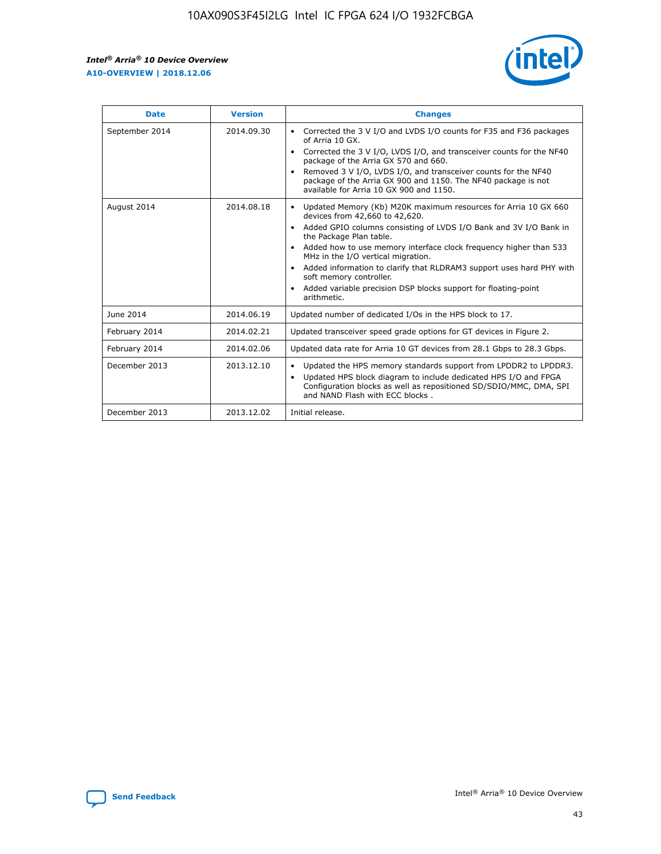r



| <b>Date</b>    | <b>Version</b> | <b>Changes</b>                                                                                                                                                                                                                                                                                                                                                                                                                                                                                                                                      |
|----------------|----------------|-----------------------------------------------------------------------------------------------------------------------------------------------------------------------------------------------------------------------------------------------------------------------------------------------------------------------------------------------------------------------------------------------------------------------------------------------------------------------------------------------------------------------------------------------------|
| September 2014 | 2014.09.30     | Corrected the 3 V I/O and LVDS I/O counts for F35 and F36 packages<br>$\bullet$<br>of Arria 10 GX.<br>Corrected the 3 V I/O, LVDS I/O, and transceiver counts for the NF40<br>$\bullet$<br>package of the Arria GX 570 and 660.<br>Removed 3 V I/O, LVDS I/O, and transceiver counts for the NF40<br>package of the Arria GX 900 and 1150. The NF40 package is not<br>available for Arria 10 GX 900 and 1150.                                                                                                                                       |
| August 2014    | 2014.08.18     | Updated Memory (Kb) M20K maximum resources for Arria 10 GX 660<br>devices from 42,660 to 42,620.<br>Added GPIO columns consisting of LVDS I/O Bank and 3V I/O Bank in<br>$\bullet$<br>the Package Plan table.<br>Added how to use memory interface clock frequency higher than 533<br>$\bullet$<br>MHz in the I/O vertical migration.<br>Added information to clarify that RLDRAM3 support uses hard PHY with<br>$\bullet$<br>soft memory controller.<br>Added variable precision DSP blocks support for floating-point<br>$\bullet$<br>arithmetic. |
| June 2014      | 2014.06.19     | Updated number of dedicated I/Os in the HPS block to 17.                                                                                                                                                                                                                                                                                                                                                                                                                                                                                            |
| February 2014  | 2014.02.21     | Updated transceiver speed grade options for GT devices in Figure 2.                                                                                                                                                                                                                                                                                                                                                                                                                                                                                 |
| February 2014  | 2014.02.06     | Updated data rate for Arria 10 GT devices from 28.1 Gbps to 28.3 Gbps.                                                                                                                                                                                                                                                                                                                                                                                                                                                                              |
| December 2013  | 2013.12.10     | Updated the HPS memory standards support from LPDDR2 to LPDDR3.<br>Updated HPS block diagram to include dedicated HPS I/O and FPGA<br>$\bullet$<br>Configuration blocks as well as repositioned SD/SDIO/MMC, DMA, SPI<br>and NAND Flash with ECC blocks.                                                                                                                                                                                                                                                                                            |
| December 2013  | 2013.12.02     | Initial release.                                                                                                                                                                                                                                                                                                                                                                                                                                                                                                                                    |